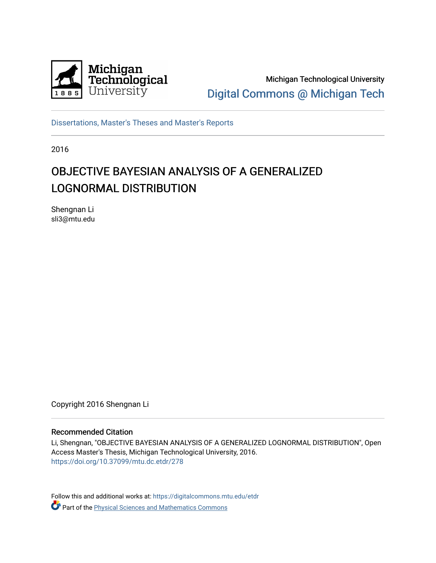

Michigan Technological University [Digital Commons @ Michigan Tech](https://digitalcommons.mtu.edu/) 

[Dissertations, Master's Theses and Master's Reports](https://digitalcommons.mtu.edu/etdr)

2016

#### OBJECTIVE BAYESIAN ANALYSIS OF A GENERALIZED LOGNORMAL DISTRIBUTION

Shengnan Li sli3@mtu.edu

Copyright 2016 Shengnan Li

#### Recommended Citation

Li, Shengnan, "OBJECTIVE BAYESIAN ANALYSIS OF A GENERALIZED LOGNORMAL DISTRIBUTION", Open Access Master's Thesis, Michigan Technological University, 2016. <https://doi.org/10.37099/mtu.dc.etdr/278>

Follow this and additional works at: [https://digitalcommons.mtu.edu/etdr](https://digitalcommons.mtu.edu/etdr?utm_source=digitalcommons.mtu.edu%2Fetdr%2F278&utm_medium=PDF&utm_campaign=PDFCoverPages)  **Part of the Physical Sciences and Mathematics Commons**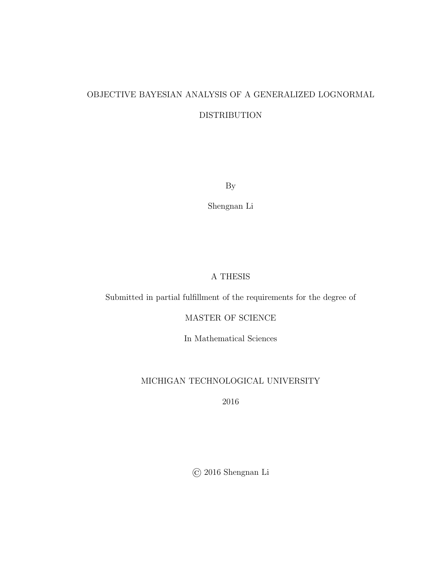#### OBJECTIVE BAYESIAN ANALYSIS OF A GENERALIZED LOGNORMAL DISTRIBUTION

By

Shengnan Li

#### A THESIS

Submitted in partial fulfillment of the requirements for the degree of

MASTER OF SCIENCE

In Mathematical Sciences

#### MICHIGAN TECHNOLOGICAL UNIVERSITY

2016

© 2016 Shengnan Li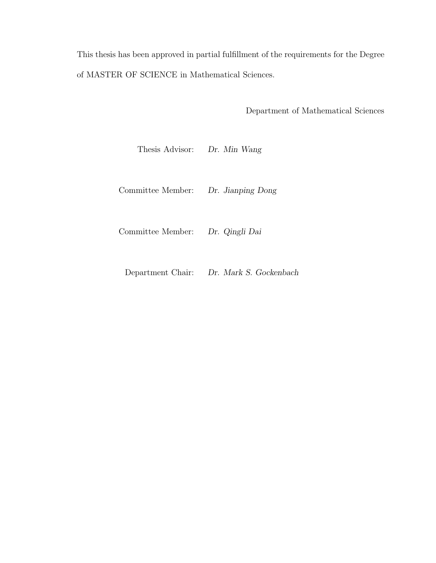This thesis has been approved in partial fulfillment of the requirements for the Degree of MASTER OF SCIENCE in Mathematical Sciences.

Department of Mathematical Sciences

Thesis Advisor: Dr. Min Wang

Committee Member: Dr. Jianping Dong

Committee Member: Dr. Qingli Dai

Department Chair: Dr. Mark S. Gockenbach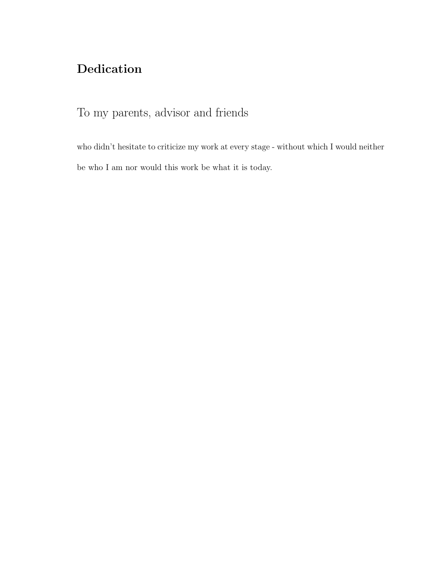#### Dedication

To my parents, advisor and friends

who didn't hesitate to criticize my work at every stage - without which I would neither be who I am nor would this work be what it is today.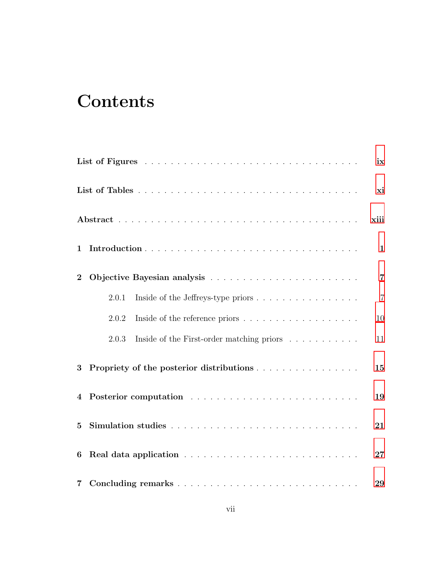# **Contents**

|                 |                                                    | ix             |
|-----------------|----------------------------------------------------|----------------|
|                 |                                                    | xi             |
|                 |                                                    | xiii           |
| $\mathbf{1}$    |                                                    | $\mathbf{1}$   |
| $\overline{2}$  |                                                    | $\overline{7}$ |
|                 | 2.0.1<br>Inside of the Jeffreys-type priors        | $\overline{7}$ |
|                 | 2.0.2                                              | 10             |
|                 | Inside of the First-order matching priors<br>2.0.3 | 11             |
| $3\phantom{.0}$ | Propriety of the posterior distributions           | 15             |
|                 |                                                    | 19             |
| $5\overline{)}$ |                                                    | 21             |
| 6               |                                                    | 27             |
| $\overline{7}$  |                                                    | 29             |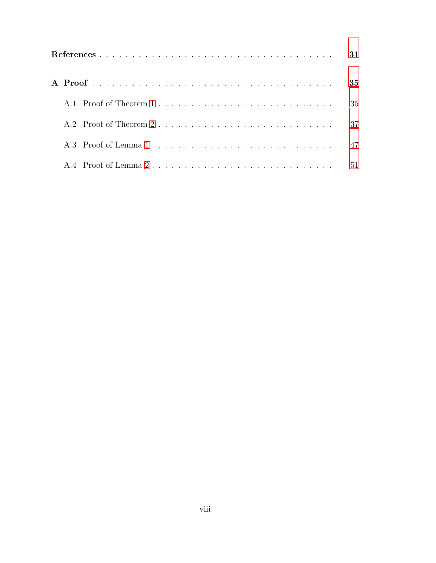|  |                      | 31 |
|--|----------------------|----|
|  |                      | 35 |
|  |                      | 35 |
|  |                      | 37 |
|  |                      | 47 |
|  | A.4 Proof of Lemma 2 | 51 |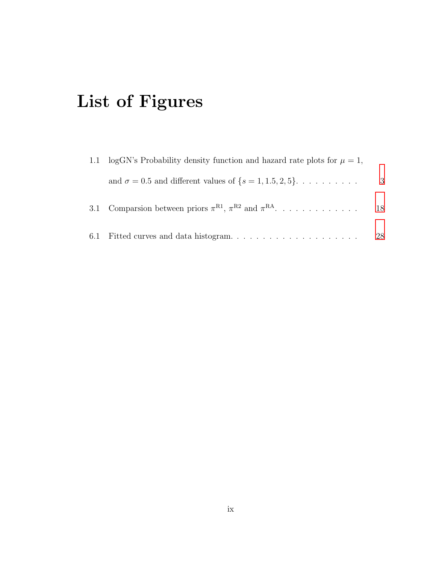# <span id="page-9-0"></span>List of Figures

| 1.1 logGN's Probability density function and hazard rate plots for $\mu = 1$ , |     |
|--------------------------------------------------------------------------------|-----|
| and $\sigma = 0.5$ and different values of $\{s = 1, 1.5, 2, 5\}$              | - 3 |
| 3.1 Comparsion between priors $\pi^{R1}$ , $\pi^{R2}$ and $\pi^{RA}$           | 18  |
|                                                                                | 28  |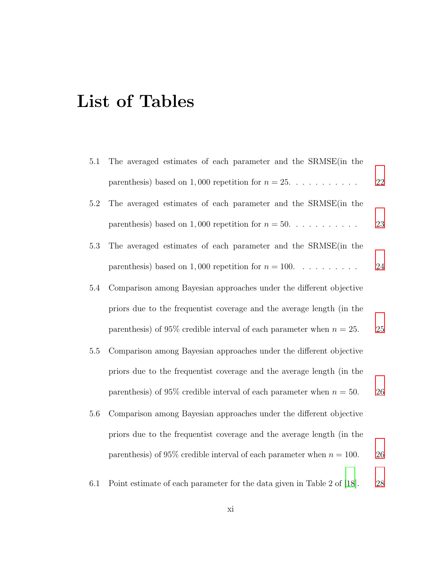# <span id="page-11-0"></span>List of Tables

| 5.1     | The averaged estimates of each parameter and the SRMSE (in the           |    |
|---------|--------------------------------------------------------------------------|----|
|         | parenthesis) based on 1,000 repetition for $n = 25$                      | 22 |
| 5.2     | The averaged estimates of each parameter and the SRMSE (in the           |    |
|         | parenthesis) based on 1,000 repetition for $n = 50$                      | 23 |
| 5.3     | The averaged estimates of each parameter and the SRMSE (in the           |    |
|         | parenthesis) based on 1,000 repetition for $n = 100$ .                   | 24 |
| $5.4\,$ | Comparison among Bayesian approaches under the different objective       |    |
|         | priors due to the frequentist coverage and the average length (in the    |    |
|         | parenthesis) of 95% credible interval of each parameter when $n = 25$ .  | 25 |
| 5.5     | Comparison among Bayesian approaches under the different objective       |    |
|         | priors due to the frequentist coverage and the average length (in the    |    |
|         | parenthesis) of 95% credible interval of each parameter when $n = 50$ .  | 26 |
| 5.6     | Comparison among Bayesian approaches under the different objective       |    |
|         | priors due to the frequentist coverage and the average length (in the    |    |
|         | parenthesis) of 95% credible interval of each parameter when $n = 100$ . | 26 |
|         |                                                                          |    |

6.1 Point estimate of each parameter for the data given in Table 2 of [\[18](#page-47-0)]. [28](#page-42-1)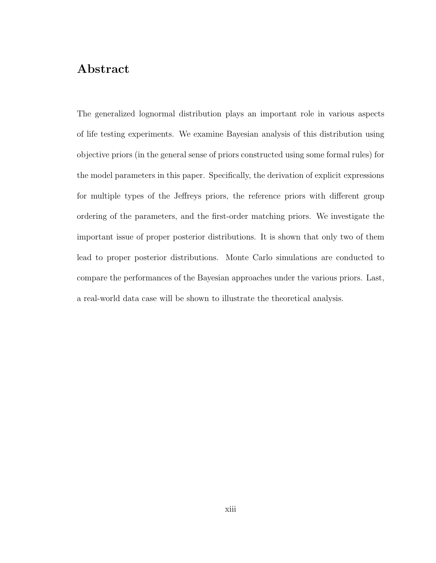#### <span id="page-13-0"></span>Abstract

The generalized lognormal distribution plays an important role in various aspects of life testing experiments. We examine Bayesian analysis of this distribution using objective priors (in the general sense of priors constructed using some formal rules) for the model parameters in this paper. Specifically, the derivation of explicit expressions for multiple types of the Jeffreys priors, the reference priors with different group ordering of the parameters, and the first-order matching priors. We investigate the important issue of proper posterior distributions. It is shown that only two of them lead to proper posterior distributions. Monte Carlo simulations are conducted to compare the performances of the Bayesian approaches under the various priors. Last, a real-world data case will be shown to illustrate the theoretical analysis.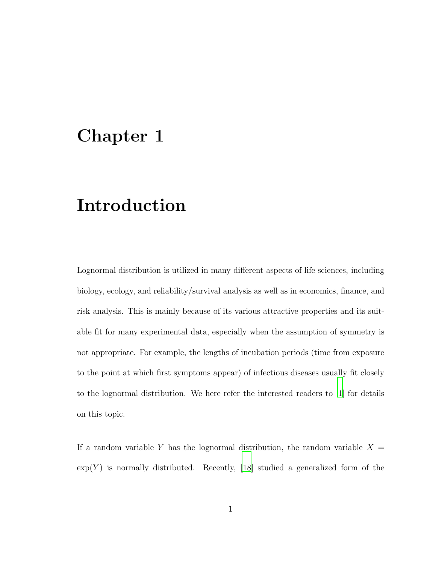### <span id="page-15-0"></span>Chapter 1

#### Introduction

Lognormal distribution is utilized in many different aspects of life sciences, including biology, ecology, and reliability/survival analysis as well as in economics, finance, and risk analysis. This is mainly because of its various attractive properties and its suitable fit for many experimental data, especially when the assumption of symmetry is not appropriate. For example, the lengths of incubation periods (time from exposure to the point at which first symptoms appear) of infectious diseases usually fit closely to the lognormal distribution. We here refer the interested readers to [\[1\]](#page-45-1) for details on this topic.

If a random variable Y has the lognormal distribution, the random variable  $X =$  $\exp(Y)$  is normally distributed. Recently, [\[18\]](#page-47-0) studied a generalized form of the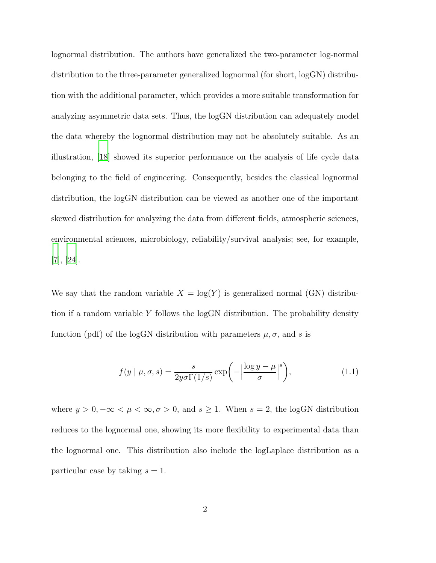lognormal distribution. The authors have generalized the two-parameter log-normal distribution to the three-parameter generalized lognormal (for short, logGN) distribution with the additional parameter, which provides a more suitable transformation for analyzing asymmetric data sets. Thus, the logGN distribution can adequately model the data whereby the lognormal distribution may not be absolutely suitable. As an illustration, [\[18](#page-47-0)] showed its superior performance on the analysis of life cycle data belonging to the field of engineering. Consequently, besides the classical lognormal distribution, the logGN distribution can be viewed as another one of the important skewed distribution for analyzing the data from different fields, atmospheric sciences, environmental sciences, microbiology, reliability/survival analysis; see, for example, [\[7](#page-46-0)], [\[24\]](#page-48-0).

We say that the random variable  $X = \log(Y)$  is generalized normal (GN) distribution if a random variable Y follows the logGN distribution. The probability density function (pdf) of the logGN distribution with parameters  $\mu$ ,  $\sigma$ , and s is

<span id="page-16-0"></span>
$$
f(y \mid \mu, \sigma, s) = \frac{s}{2y\sigma\Gamma(1/s)} \exp\left(-\left|\frac{\log y - \mu}{\sigma}\right|^s\right),\tag{1.1}
$$

where  $y > 0, -\infty < \mu < \infty, \sigma > 0$ , and  $s \ge 1$ . When  $s = 2$ , the logGN distribution reduces to the lognormal one, showing its more flexibility to experimental data than the lognormal one. This distribution also include the logLaplace distribution as a particular case by taking  $s = 1$ .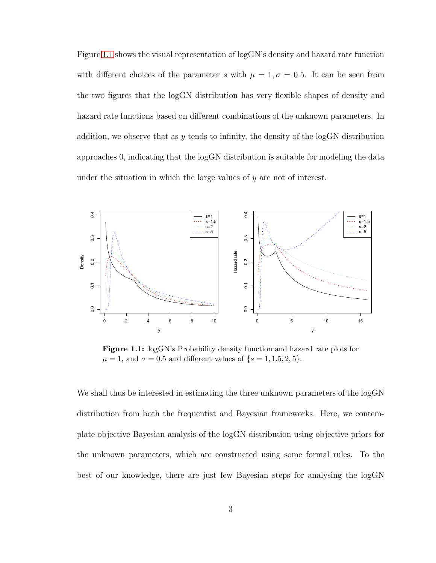Figure [1.1](#page-17-0) shows the visual representation of logGN's density and hazard rate function with different choices of the parameter s with  $\mu = 1, \sigma = 0.5$ . It can be seen from the two figures that the logGN distribution has very flexible shapes of density and hazard rate functions based on different combinations of the unknown parameters. In addition, we observe that as  $y$  tends to infinity, the density of the logGN distribution approaches 0, indicating that the logGN distribution is suitable for modeling the data under the situation in which the large values of  $y$  are not of interest.

<span id="page-17-0"></span>

Figure 1.1: logGN's Probability density function and hazard rate plots for  $\mu = 1$ , and  $\sigma = 0.5$  and different values of  $\{s = 1, 1.5, 2, 5\}.$ 

We shall thus be interested in estimating the three unknown parameters of the  $logGN$ distribution from both the frequentist and Bayesian frameworks. Here, we contemplate objective Bayesian analysis of the logGN distribution using objective priors for the unknown parameters, which are constructed using some formal rules. To the best of our knowledge, there are just few Bayesian steps for analysing the logGN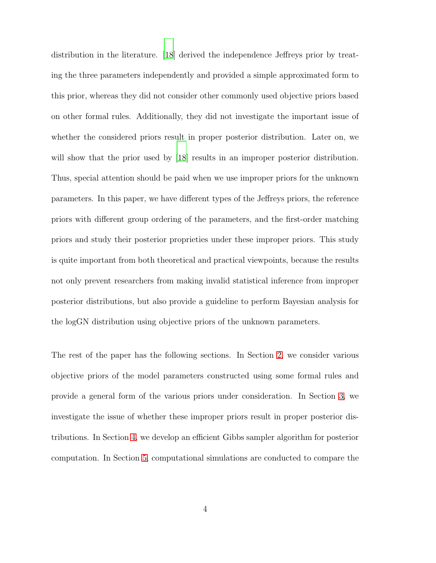distribution in the literature. [\[18\]](#page-47-0) derived the independence Jeffreys prior by treating the three parameters independently and provided a simple approximated form to this prior, whereas they did not consider other commonly used objective priors based on other formal rules. Additionally, they did not investigate the important issue of whether the considered priors result in proper posterior distribution. Later on, we will show that the prior used by [\[18\]](#page-47-0) results in an improper posterior distribution. Thus, special attention should be paid when we use improper priors for the unknown parameters. In this paper, we have different types of the Jeffreys priors, the reference priors with different group ordering of the parameters, and the first-order matching priors and study their posterior proprieties under these improper priors. This study is quite important from both theoretical and practical viewpoints, because the results not only prevent researchers from making invalid statistical inference from improper posterior distributions, but also provide a guideline to perform Bayesian analysis for the logGN distribution using objective priors of the unknown parameters.

The rest of the paper has the following sections. In Section [2,](#page-21-0) we consider various objective priors of the model parameters constructed using some formal rules and provide a general form of the various priors under consideration. In Section [3,](#page-29-0) we investigate the issue of whether these improper priors result in proper posterior distributions. In Section [4,](#page-33-0) we develop an efficient Gibbs sampler algorithm for posterior computation. In Section [5,](#page-35-0) computational simulations are conducted to compare the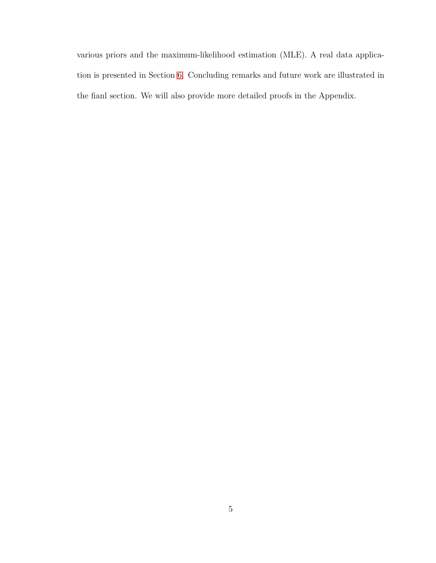various priors and the maximum-likelihood estimation (MLE). A real data application is presented in Section [6.](#page-41-0) Concluding remarks and future work are illustrated in the fianl section. We will also provide more detailed proofs in the Appendix.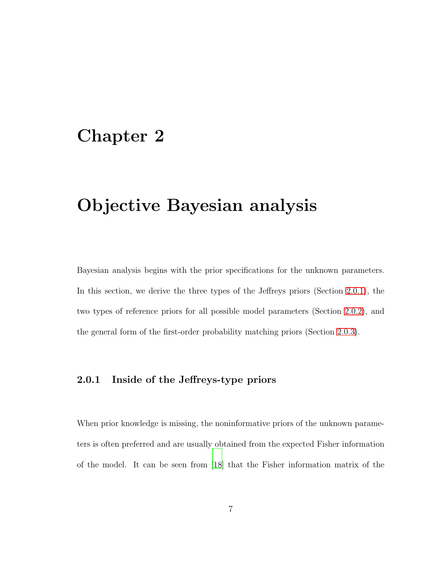### <span id="page-21-0"></span>Chapter 2

# Objective Bayesian analysis

Bayesian analysis begins with the prior specifications for the unknown parameters. In this section, we derive the three types of the Jeffreys priors (Section [2.0.1\)](#page-21-1), the two types of reference priors for all possible model parameters (Section [2.0.2\)](#page-24-0), and the general form of the first-order probability matching priors (Section [2.0.3\)](#page-25-0).

#### <span id="page-21-1"></span>2.0.1 Inside of the Jeffreys-type priors

When prior knowledge is missing, the noninformative priors of the unknown parameters is often preferred and are usually obtained from the expected Fisher information of the model. It can be seen from [\[18\]](#page-47-0) that the Fisher information matrix of the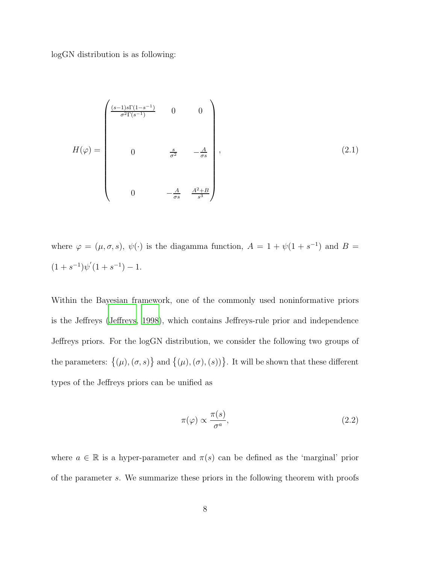logGN distribution is as following:

<span id="page-22-1"></span>
$$
H(\varphi) = \begin{pmatrix} \frac{(s-1)s\Gamma(1-s^{-1})}{\sigma^2 \Gamma(s^{-1})} & 0 & 0\\ 0 & \frac{s}{\sigma^2} & -\frac{A}{\sigma s} \\ 0 & -\frac{A}{\sigma s} & \frac{A^2+B}{s^3} \end{pmatrix},
$$
(2.1)

where  $\varphi = (\mu, \sigma, s), \psi(\cdot)$  is the diagamma function,  $A = 1 + \psi(1 + s^{-1})$  and  $B =$  $(1 + s^{-1})\psi'(1 + s^{-1}) - 1.$ 

Within the Bayesian framework, one of the commonly used noninformative priors is the Jeffreys [\(Jeffreys](#page-47-1), [1998\)](#page-47-1), which contains Jeffreys-rule prior and independence Jeffreys priors. For the logGN distribution, we consider the following two groups of the parameters:  $\{(\mu),(\sigma,s)\}\$ and  $\{(\mu),(\sigma),(s)\}\$ . It will be shown that these different types of the Jeffreys priors can be unified as

<span id="page-22-0"></span>
$$
\pi(\varphi) \propto \frac{\pi(s)}{\sigma^a},\tag{2.2}
$$

where  $a \in \mathbb{R}$  is a hyper-parameter and  $\pi(s)$  can be defined as the 'marginal' prior of the parameter s. We summarize these priors in the following theorem with proofs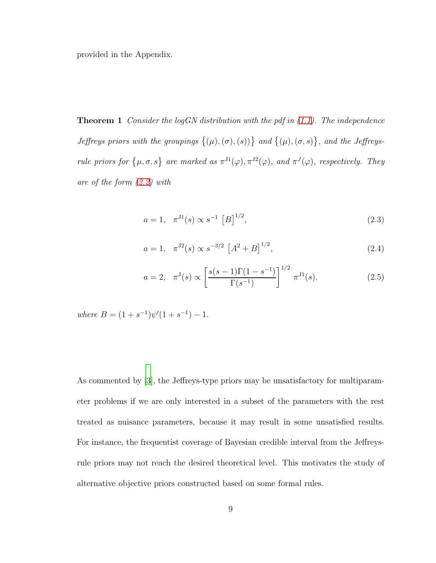<span id="page-23-0"></span>provided in the Appendix.

Theorem 1 *Consider the logGN distribution with the pdf in [\(1.1\)](#page-16-0). The independence Jeffreys priors with the groupings*  $\{(\mu),(\sigma),(\mathbf{s})\}$  and  $\{(\mu),(\sigma,\mathbf{s})\}$ , and the Jeffreys*rule priors for*  $\{\mu, \sigma, s\}$  are marked as  $\pi^{J1}(\varphi), \pi^{J2}(\varphi)$ , and  $\pi^{J}(\varphi)$ , respectively. They *are of the form [\(2.2\)](#page-22-0) with*

<span id="page-23-1"></span>
$$
a = 1, \quad \pi^{J1}(s) \propto s^{-1} [B]^{1/2}, \tag{2.3}
$$

<span id="page-23-2"></span>
$$
a = 1, \quad \pi^{J2}(s) \propto s^{-3/2} \left[ A^2 + B \right]^{1/2},\tag{2.4}
$$

$$
a = 2, \quad \pi^{J}(s) \propto \left[ \frac{s(s-1)\Gamma(1-s^{-1})}{\Gamma(s^{-1})} \right]^{1/2} \pi^{J}^{1}(s).
$$
 (2.5)

 $where B = (1 + s^{-1})\psi'(1 + s^{-1}) - 1.$ 

As commented by [\[3\]](#page-45-2), the Jeffreys-type priors may be unsatisfactory for multiparameter problems if we are only interested in a subset of the parameters with the rest treated as nuisance parameters, because it may result in some unsatisfied results. For instance, the frequentist coverage of Bayesian credible interval from the Jeffreysrule priors may not reach the desired theoretical level. This motivates the study of alternative objective priors constructed based on some formal rules.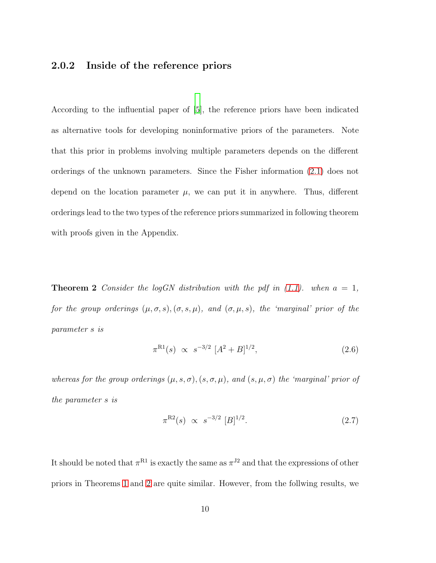#### <span id="page-24-0"></span>2.0.2 Inside of the reference priors

According to the influential paper of [\[5\]](#page-45-3), the reference priors have been indicated as alternative tools for developing noninformative priors of the parameters. Note that this prior in problems involving multiple parameters depends on the different orderings of the unknown parameters. Since the Fisher information [\(2.1\)](#page-22-1) does not depend on the location parameter  $\mu$ , we can put it in anywhere. Thus, different orderings lead to the two types of the reference priors summarized in following theorem with proofs given in the Appendix.

**Theorem 2** *Consider the logGN distribution with the pdf in*  $(1.1)$ *. when*  $a = 1$ *, for the group orderings*  $(\mu, \sigma, s)$ ,  $(\sigma, s, \mu)$ *, and*  $(\sigma, \mu, s)$ *, the 'marginal' prior of the parameter* s *is*

<span id="page-24-2"></span><span id="page-24-1"></span>
$$
\pi^{\text{R1}}(s) \propto s^{-3/2} \ [A^2 + B]^{1/2},\tag{2.6}
$$

*whereas for the group orderings*  $(\mu, s, \sigma)$ ,  $(s, \sigma, \mu)$ *, and*  $(s, \mu, \sigma)$  *the 'marginal' prior of the parameter* s *is*

<span id="page-24-3"></span>
$$
\pi^{R2}(s) \propto s^{-3/2} [B]^{1/2}.
$$
\n(2.7)

It should be noted that  $\pi^{R1}$  is exactly the same as  $\pi^{J2}$  and that the expressions of other priors in Theorems [1](#page-23-0) and [2](#page-24-1) are quite similar. However, from the follwing results, we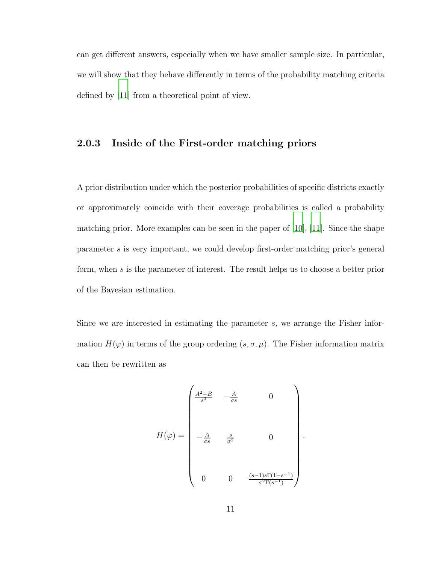<span id="page-25-0"></span>can get different answers, especially when we have smaller sample size. In particular, we will show that they behave differently in terms of the probability matching criteria defined by [\[11\]](#page-46-1) from a theoretical point of view.

#### 2.0.3 Inside of the First-order matching priors

A prior distribution under which the posterior probabilities of specific districts exactly or approximately coincide with their coverage probabilities is called a probability matching prior. More examples can be seen in the paper of [\[10\]](#page-46-2), [\[11\]](#page-46-1). Since the shape parameter s is very important, we could develop first-order matching prior's general form, when s is the parameter of interest. The result helps us to choose a better prior of the Bayesian estimation.

Since we are interested in estimating the parameter s, we arrange the Fisher information  $H(\varphi)$  in terms of the group ordering  $(s, \sigma, \mu)$ . The Fisher information matrix can then be rewritten as

$$
H(\varphi) = \begin{pmatrix} \frac{A^2 + B}{s^3} & -\frac{A}{\sigma s} & 0 \\ & & \\ -\frac{A}{\sigma s} & \frac{s}{\sigma^2} & 0 \\ & & \\ 0 & 0 & \frac{(s-1)s\Gamma(1-s^{-1})}{\sigma^2\Gamma(s^{-1})} \end{pmatrix}
$$

.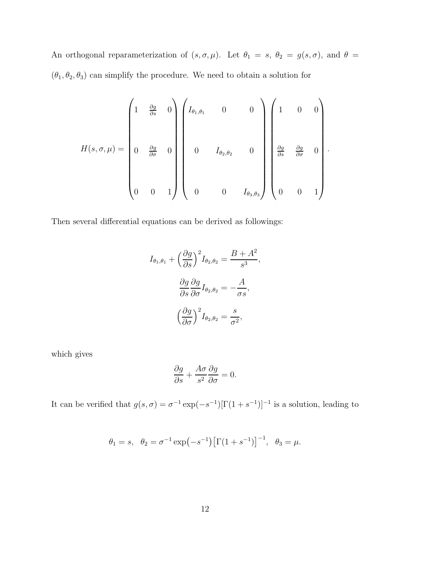An orthogonal reparameterization of  $(s, \sigma, \mu)$ . Let  $\theta_1 = s$ ,  $\theta_2 = g(s, \sigma)$ , and  $\theta =$  $(\theta_1,\theta_2,\theta_3)$  can simplify the procedure. We need to obtain a solution for

$$
H(s,\sigma,\mu) = \begin{pmatrix} 1 & \frac{\partial g}{\partial s} & 0 \\ & & & & \\ 0 & \frac{\partial g}{\partial \sigma} & 0 \\ & & & & \\ 0 & 0 & 1 \end{pmatrix} \begin{pmatrix} I_{\theta_1,\theta_1} & 0 & 0 \\ & & & \\ 0 & I_{\theta_2,\theta_2} & 0 \\ & & & \\ 0 & 0 & I_{\theta_3,\theta_3} \end{pmatrix} \begin{pmatrix} 1 & 0 & 0 \\ & & & \\ \frac{\partial g}{\partial s} & \frac{\partial g}{\partial \sigma} & 0 \\ & & & \\ 0 & 0 & 1 \end{pmatrix}.
$$

Then several differential equations can be derived as followings:

$$
I_{\theta_1, \theta_1} + \left(\frac{\partial g}{\partial s}\right)^2 I_{\theta_2, \theta_2} = \frac{B + A^2}{s^3},
$$

$$
\frac{\partial g}{\partial s} \frac{\partial g}{\partial \sigma} I_{\theta_2, \theta_2} = -\frac{A}{\sigma s},
$$

$$
\left(\frac{\partial g}{\partial \sigma}\right)^2 I_{\theta_2, \theta_2} = \frac{s}{\sigma^2},
$$

which gives

$$
\frac{\partial g}{\partial s} + \frac{A\sigma}{s^2} \frac{\partial g}{\partial \sigma} = 0.
$$

It can be verified that  $g(s, \sigma) = \sigma^{-1} \exp(-s^{-1})[\Gamma(1 + s^{-1})]^{-1}$  is a solution, leading to

$$
\theta_1 = s
$$
,  $\theta_2 = \sigma^{-1} \exp(-s^{-1}) [\Gamma(1 + s^{-1})]^{-1}$ ,  $\theta_3 = \mu$ .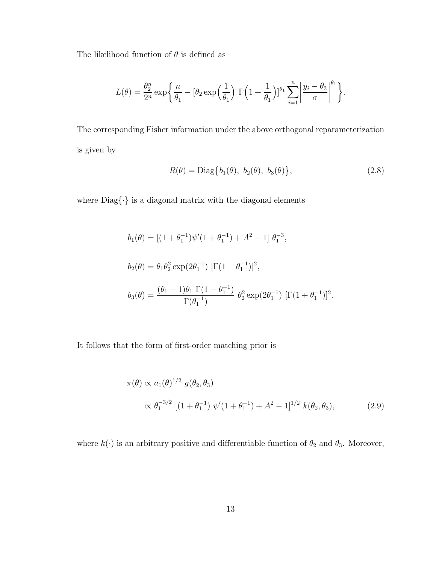The likelihood function of  $\theta$  is defined as

$$
L(\theta) = \frac{\theta_2^n}{2^n} \exp\bigg\{\frac{n}{\theta_1} - \left[\theta_2 \exp\left(\frac{1}{\theta_1}\right) \Gamma\left(1 + \frac{1}{\theta_1}\right)\right]^{\theta_1} \sum_{i=1}^n \left|\frac{y_i - \theta_3}{\sigma}\right|^{\theta_1}\bigg\}.
$$

The corresponding Fisher information under the above orthogonal reparameterization is given by

<span id="page-27-0"></span>
$$
R(\theta) = \text{Diag}\big\{b_1(\theta), b_2(\theta), b_3(\theta)\big\},\tag{2.8}
$$

where  $\mathrm{Diag}\{\cdot\}$  is a diagonal matrix with the diagonal elements

$$
b_1(\theta) = \left[ (1 + \theta_1^{-1}) \psi'(1 + \theta_1^{-1}) + A^2 - 1 \right] \theta_1^{-3},
$$
  
\n
$$
b_2(\theta) = \theta_1 \theta_2^2 \exp(2\theta_1^{-1}) \left[ \Gamma(1 + \theta_1^{-1}) \right]^2,
$$
  
\n
$$
b_3(\theta) = \frac{(\theta_1 - 1)\theta_1 \Gamma(1 - \theta_1^{-1})}{\Gamma(\theta_1^{-1})} \theta_2^2 \exp(2\theta_1^{-1}) \left[ \Gamma(1 + \theta_1^{-1}) \right]^2.
$$

It follows that the form of first-order matching prior is

<span id="page-27-1"></span>
$$
\pi(\theta) \propto a_1(\theta)^{1/2} g(\theta_2, \theta_3)
$$
  
 
$$
\propto \theta_1^{-3/2} \left[ (1 + \theta_1^{-1}) \psi'(1 + \theta_1^{-1}) + A^2 - 1 \right]^{1/2} k(\theta_2, \theta_3),
$$
 (2.9)

where  $k(\cdot)$  is an arbitrary positive and differentiable function of  $\theta_2$  and  $\theta_3$ . Moreover,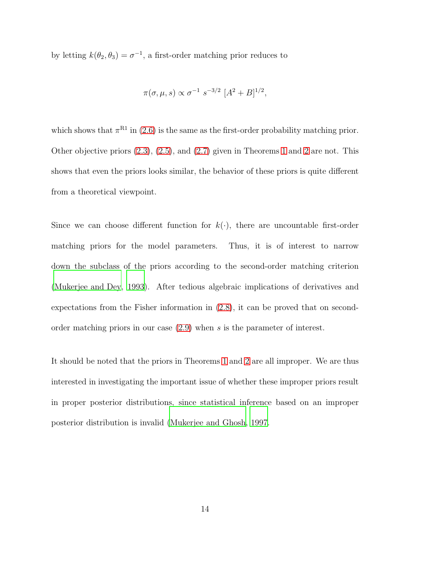by letting  $k(\theta_2, \theta_3) = \sigma^{-1}$ , a first-order matching prior reduces to

$$
\pi(\sigma, \mu, s) \propto \sigma^{-1} s^{-3/2} [A^2 + B]^{1/2},
$$

which shows that  $\pi^{R1}$  in [\(2.6\)](#page-24-2) is the same as the first-order probability matching prior. Other objective priors [\(2.3\)](#page-23-1), [\(2.5\)](#page-23-2), and [\(2.7\)](#page-24-3) given in Theorems [1](#page-23-0) and [2](#page-24-1) are not. This shows that even the priors looks similar, the behavior of these priors is quite different from a theoretical viewpoint.

Since we can choose different function for  $k(\cdot)$ , there are uncountable first-order matching priors for the model parameters. Thus, it is of interest to narrow down the subclass of the priors according to the second-order matching criterion [\(Mukerjee and Dey](#page-47-2), [1993\)](#page-47-2). After tedious algebraic implications of derivatives and expectations from the Fisher information in [\(2.8\)](#page-27-0), it can be proved that on secondorder matching priors in our case [\(2.9\)](#page-27-1) when s is the parameter of interest.

It should be noted that the priors in Theorems [1](#page-23-0) and [2](#page-24-1) are all improper. We are thus interested in investigating the important issue of whether these improper priors result in proper posterior distributions, since statistical inference based on an improper posterior distribution is invalid [\(Mukerjee and Ghosh](#page-47-3), [1997.](#page-47-3)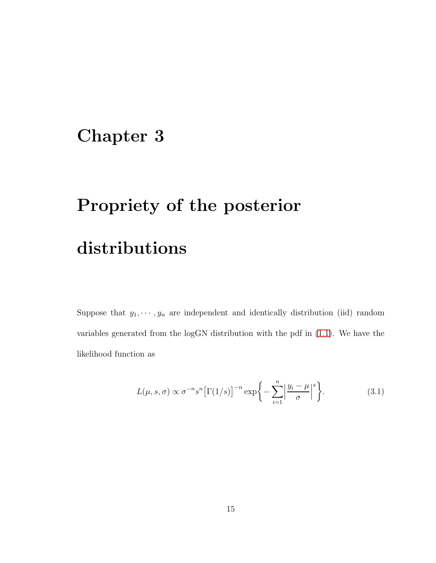## <span id="page-29-0"></span>Chapter 3

# Propriety of the posterior distributions

Suppose that  $y_1, \dots, y_n$  are independent and identically distribution (iid) random variables generated from the logGN distribution with the pdf in [\(1.1\)](#page-16-0). We have the likelihood function as

<span id="page-29-1"></span>
$$
L(\mu, s, \sigma) \propto \sigma^{-n} s^n \left[ \Gamma(1/s) \right]^{-n} \exp\left\{-\sum_{i=1}^n \left| \frac{y_i - \mu}{\sigma} \right|^s \right\}.
$$
 (3.1)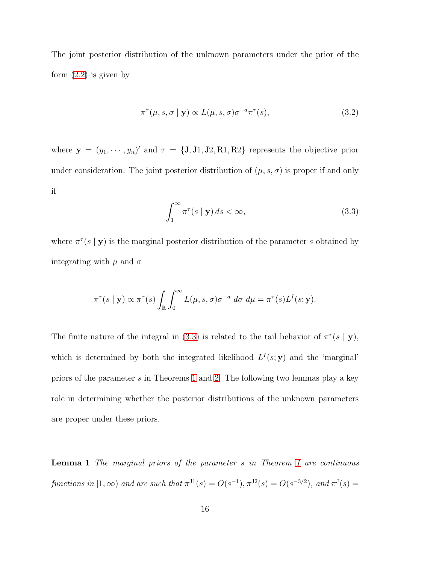The joint posterior distribution of the unknown parameters under the prior of the form  $(2.2)$  is given by

<span id="page-30-2"></span>
$$
\pi^{\tau}(\mu, s, \sigma \mid \mathbf{y}) \propto L(\mu, s, \sigma) \sigma^{-a} \pi^{\tau}(s), \tag{3.2}
$$

where  $\mathbf{y} = (y_1, \dots, y_n)'$  and  $\tau = \{J, J1, J2, R1, R2\}$  represents the objective prior under consideration. The joint posterior distribution of  $(\mu, s, \sigma)$  is proper if and only if

<span id="page-30-1"></span>
$$
\int_{1}^{\infty} \pi^{\tau}(s \mid \mathbf{y}) ds < \infty,
$$
\n(3.3)

where  $\pi^{\tau}(s | \mathbf{y})$  is the marginal posterior distribution of the parameter s obtained by integrating with  $\mu$  and  $\sigma$ 

$$
\pi^{\tau}(s \mid \mathbf{y}) \propto \pi^{\tau}(s) \int_{\mathbb{R}} \int_0^{\infty} L(\mu, s, \sigma) \sigma^{-a} d\sigma d\mu = \pi^{\tau}(s) L^{I}(s; \mathbf{y}).
$$

The finite nature of the integral in [\(3.3\)](#page-30-1) is related to the tail behavior of  $\pi^{\tau}(s | \mathbf{y})$ , which is determined by both the integrated likelihood  $L^{I}(s; y)$  and the 'marginal' priors of the parameter s in Theorems [1](#page-23-0) and [2.](#page-24-1) The following two lemmas play a key role in determining whether the posterior distributions of the unknown parameters are proper under these priors.

<span id="page-30-0"></span>Lemma 1 *The marginal priors of the parameter* s *in Theorem [1](#page-23-0) are continuous functions in*  $[1, \infty)$  *and are such that*  $\pi^{J1}(s) = O(s^{-1}), \pi^{J2}(s) = O(s^{-3/2})$ *, and*  $\pi^{J}(s) =$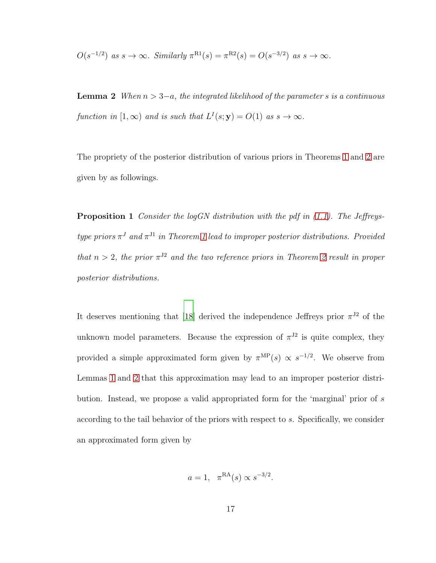<span id="page-31-0"></span>
$$
O(s^{-1/2})
$$
 as  $s \to \infty$ . Similarly  $\pi^{R1}(s) = \pi^{R2}(s) = O(s^{-3/2})$  as  $s \to \infty$ .

Lemma 2 *When* n > 3−a*, the integrated likelihood of the parameter* s *is a continuous* function in  $[1, \infty)$  and is such that  $L^I(s; y) = O(1)$  as  $s \to \infty$ .

The propriety of the posterior distribution of various priors in Theorems [1](#page-23-0) and [2](#page-24-1) are given by as followings.

Proposition 1 *Consider the logGN distribution with the pdf in [\(1.1\)](#page-16-0). The Jeffreystype priors* π <sup>J</sup> *and* π J1 *in Theorem [1](#page-23-0) lead to improper posterior distributions. Provided that*  $n > 2$  $n > 2$ , the prior  $\pi^{J2}$  and the two reference priors in Theorem 2 result in proper *posterior distributions.*

It deserves mentioning that [\[18](#page-47-0)] derived the independence Jeffreys prior  $\pi^{J2}$  of the unknown model parameters. Because the expression of  $\pi^{J2}$  is quite complex, they provided a simple approximated form given by  $\pi^{\text{MP}}(s) \propto s^{-1/2}$ . We observe from Lemmas [1](#page-30-0) and [2](#page-31-0) that this approximation may lead to an improper posterior distribution. Instead, we propose a valid appropriated form for the 'marginal' prior of s according to the tail behavior of the priors with respect to s. Specifically, we consider an approximated form given by

$$
a = 1, \ \pi^{\text{RA}}(s) \propto s^{-3/2}.
$$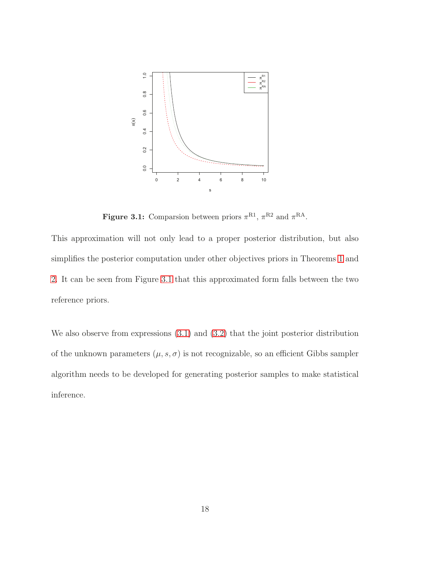<span id="page-32-0"></span>

**Figure 3.1:** Comparsion between priors  $\pi^{R1}$ ,  $\pi^{R2}$  and  $\pi^{RA}$ .

This approximation will not only lead to a proper posterior distribution, but also simplifies the posterior computation under other objectives priors in Theorems [1](#page-23-0) and [2.](#page-24-1) It can be seen from Figure [3.1](#page-32-0) that this approximated form falls between the two reference priors.

We also observe from expressions  $(3.1)$  and  $(3.2)$  that the joint posterior distribution of the unknown parameters  $(\mu, s, \sigma)$  is not recognizable, so an efficient Gibbs sampler algorithm needs to be developed for generating posterior samples to make statistical inference.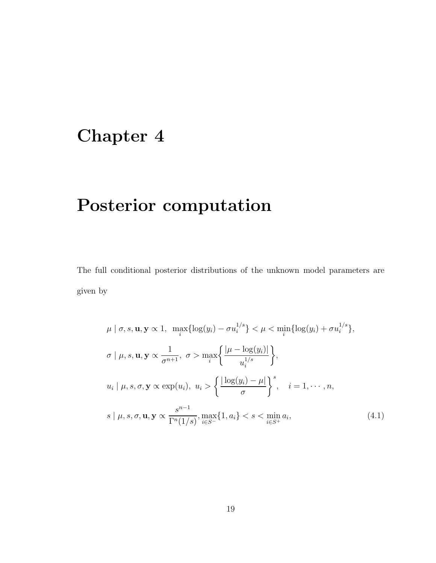# <span id="page-33-0"></span>Chapter 4

# Posterior computation

The full conditional posterior distributions of the unknown model parameters are given by

<span id="page-33-1"></span>
$$
\mu \mid \sigma, s, \mathbf{u}, \mathbf{y} \propto 1, \quad \max_{i} \{ \log(y_i) - \sigma u_i^{1/s} \} < \mu < \min_{i} \{ \log(y_i) + \sigma u_i^{1/s} \},
$$
\n
$$
\sigma \mid \mu, s, \mathbf{u}, \mathbf{y} \propto \frac{1}{\sigma^{n+1}}, \quad \sigma > \max_{i} \left\{ \frac{|\mu - \log(y_i)|}{u_i^{1/s}} \right\},
$$
\n
$$
u_i \mid \mu, s, \sigma, \mathbf{y} \propto \exp(u_i), \quad u_i > \left\{ \frac{\lfloor \log(y_i) - \mu \rfloor}{\sigma} \right\}^s, \quad i = 1, \cdots, n,
$$
\n
$$
s \mid \mu, s, \sigma, \mathbf{u}, \mathbf{y} \propto \frac{s^{n-1}}{\Gamma^n(1/s)}, \max_{i \in S^-} \{1, a_i\} < s < \min_{i \in S^+} a_i,
$$
\n
$$
(4.1)
$$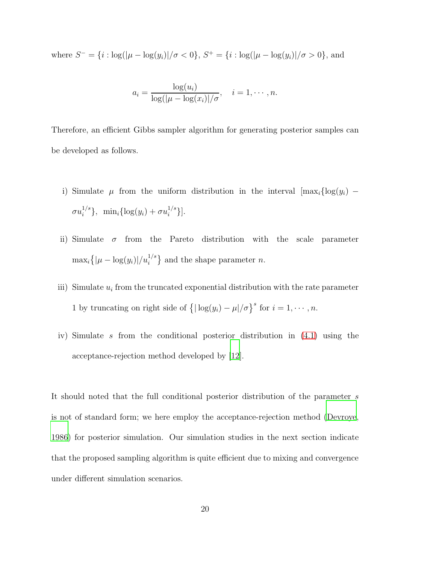where  $S^- = \{i : \log(|\mu - \log(y_i)|/\sigma < 0\}, S^+ = \{i : \log(|\mu - \log(y_i)|/\sigma > 0\}, \text{ and }$ 

$$
a_i = \frac{\log(u_i)}{\log(|\mu - \log(x_i)|/\sigma)}, \quad i = 1, \cdots, n.
$$

Therefore, an efficient Gibbs sampler algorithm for generating posterior samples can be developed as follows.

- i) Simulate  $\mu$  from the uniform distribution in the interval  $[\max_i {\log(y_i)} \sigma u_i^{1/s}$  $i^{1/s}$ , min<sub>i</sub> $\{\log(y_i) + \sigma u_i^{1/s}\}$  $\begin{bmatrix} 1/s \\ i \end{bmatrix}$ .
- ii) Simulate  $\sigma$  from the Pareto distribution with the scale parameter  $\max_i \{|\mu - \log(y_i)|/u_i^{1/s}\}\$ and the shape parameter n.
- iii) Simulate  $u_i$  from the truncated exponential distribution with the rate parameter 1 by truncating on right side of  $\{|\log(y_i) - \mu|/\sigma\}^s$  for  $i = 1, \dots, n$ .
- iv) Simulate s from the conditional posterior distribution in [\(4.1\)](#page-33-1) using the acceptance-rejection method developed by [\[12](#page-46-3)].

It should noted that the full conditional posterior distribution of the parameter s is not of standard form; we here employ the acceptance-rejection method [\(Devroye,](#page-46-3) [1986\)](#page-46-3) for posterior simulation. Our simulation studies in the next section indicate that the proposed sampling algorithm is quite efficient due to mixing and convergence under different simulation scenarios.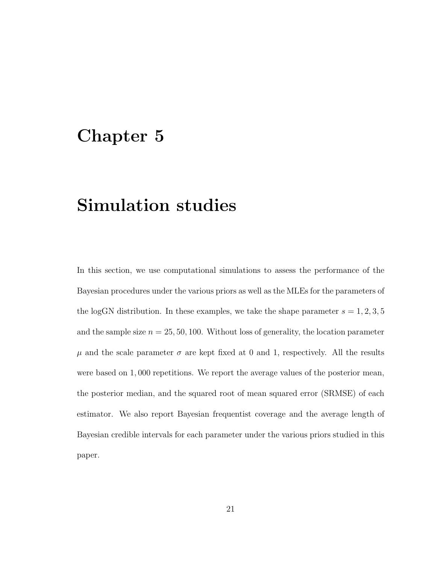### <span id="page-35-0"></span>Chapter 5

### Simulation studies

In this section, we use computational simulations to assess the performance of the Bayesian procedures under the various priors as well as the MLEs for the parameters of the logGN distribution. In these examples, we take the shape parameter  $s = 1, 2, 3, 5$ and the sample size  $n = 25, 50, 100$ . Without loss of generality, the location parameter  $\mu$  and the scale parameter  $\sigma$  are kept fixed at 0 and 1, respectively. All the results were based on 1, 000 repetitions. We report the average values of the posterior mean, the posterior median, and the squared root of mean squared error (SRMSE) of each estimator. We also report Bayesian frequentist coverage and the average length of Bayesian credible intervals for each parameter under the various priors studied in this paper.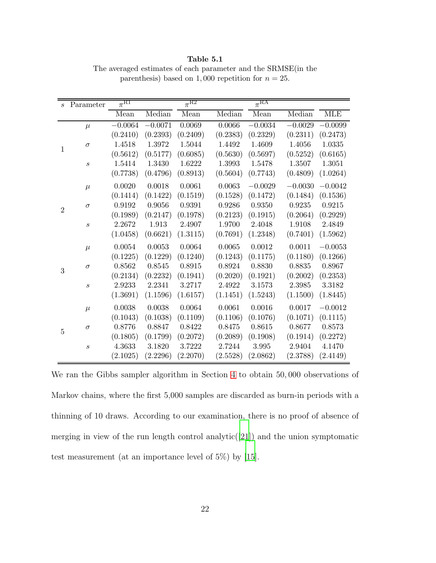s Parameter  $\pi^{\text{R1}}$ R1  $\pi$  $\overline{\pi^{R2}}$  $\pi^{\rm RA}$ Mean Median Mean Median Mean Median MLE 1  $\mu$  −0.0064 −0.0071 0.0069 0.0066 −0.0034 −0.0029 −0.0099 (0.2410) (0.2393) (0.2409) (0.2383) (0.2329) (0.2311) (0.2473)  $\sigma$  1.4518 1.3972 1.5044 1.4492 1.4609 1.4056 1.0335  $(0.5612)$   $(0.5177)$   $(0.6085)$   $(0.5630)$   $(0.5697)$   $(0.5252)$   $(0.6165)$ s 1.5414 1.3430 1.6222 1.3993 1.5478 1.3507 1.3051 (0.7738) (0.4796) (0.8913) (0.5604) (0.7743) (0.4809) (1.0264) 2  $\mu$  0.0020 0.0018 0.0061 0.0063 −0.0029 −0.0030 −0.0042 (0.1414) (0.1422) (0.1519) (0.1528) (0.1472) (0.1484) (0.1536)  $\sigma$  0.9192 0.9056 0.9391 0.9286 0.9350 0.9235 0.9215 (0.1989) (0.2147) (0.1978) (0.2123) (0.1915) (0.2064) (0.2929) s 2.2672 1.913 2.4907 1.9700 2.4048 1.9108 2.4849 (1.0458) (0.6621) (1.3115) (0.7691) (1.2348) (0.7401) (1.5962) 3  $\mu$  0.0054 0.0053 0.0064 0.0065 0.0012 0.0011 −0.0053 (0.1225) (0.1229) (0.1240) (0.1243) (0.1175) (0.1180) (0.1266)  $\sigma$  0.8562 0.8545 0.8915 0.8924 0.8830 0.8835 0.8967 (0.2134) (0.2232) (0.1941) (0.2020) (0.1921) (0.2002) (0.2353) s 2.9233 2.2341 3.2717 2.4922 3.1573 2.3985 3.3182 (1.3691) (1.1596) (1.6157) (1.1451) (1.5243) (1.1500) (1.8445) 5  $\mu$  0.0038 0.0038 0.0064 0.0061 0.0016 0.0017 −0.0012  $(0.1043)$   $(0.1038)$   $(0.1109)$   $(0.1106)$   $(0.1076)$   $(0.1071)$   $(0.1115)$  $\sigma$  0.8776 0.8847 0.8422 0.8475 0.8615 0.8677 0.8573 (0.1805) (0.1799) (0.2072) (0.2089) (0.1908) (0.1914) (0.2272) s 4.3633 3.1820 3.7222 2.7244 3.995 2.9404 4.1470  $(2.1025)$   $(2.2296)$   $(2.2070)$   $(2.5528)$   $(2.0862)$   $(2.3788)$   $(2.4149)$ 

<span id="page-36-0"></span>Table 5.1 The averaged estimates of each parameter and the SRMSE(in the parenthesis) based on 1,000 repetition for  $n = 25$ .

We ran the Gibbs sampler algorithm in Section [4](#page-33-0) to obtain 50, 000 observations of Markov chains, where the first 5,000 samples are discarded as burn-in periods with a thinning of 10 draws. According to our examination, there is no proof of absence of merging in view of the run length control analytic( $|21|$ ) and the union symptomatic test measurement (at an importance level of 5%) by [\[15\]](#page-47-5).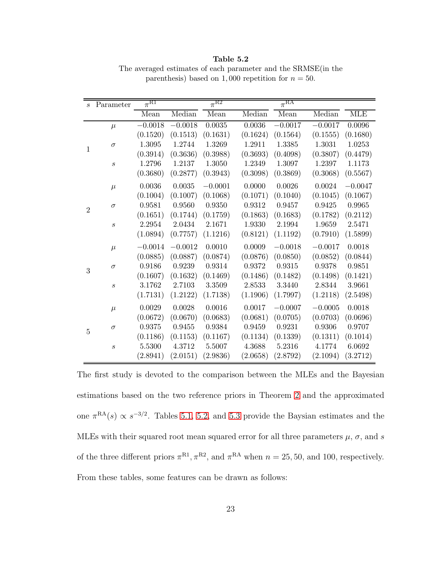| $\mathcal{S}_{\mathcal{S}}$ | Parameter        | $\overline{\pi^{\text{RI}}}$ |            | $\pi^{R2}$   |          | $\overline{\pi^{RA}}$ |           |            |
|-----------------------------|------------------|------------------------------|------------|--------------|----------|-----------------------|-----------|------------|
|                             |                  | Mean                         | Median     | Mean         | Median   | Mean                  | Median    | <b>MLE</b> |
|                             | $\mu$            | $-0.0018$                    | $-0.0018$  | $\,0.0035\,$ | 0.0036   | $-0.0017$             | $-0.0017$ | 0.0096     |
|                             |                  | (0.1520)                     | (0.1513)   | (0.1631)     | (0.1624) | (0.1564)              | (0.1555)  | (0.1680)   |
|                             | $\sigma$         | 1.3095                       | 1.2744     | 1.3269       | 1.2911   | 1.3385                | 1.3031    | 1.0253     |
| $\mathbf{1}$                |                  | (0.3914)                     | (0.3636)   | (0.3988)     | (0.3693) | (0.4098)              | (0.3807)  | (0.4479)   |
|                             | $\boldsymbol{s}$ | 1.2796                       | 1.2137     | 1.3050       | 1.2349   | 1.3097                | 1.2397    | 1.1173     |
|                             |                  | (0.3680)                     | (0.2877)   | (0.3943)     | (0.3098) | (0.3869)              | (0.3068)  | (0.5567)   |
|                             | $\mu$            | $\,0.0036\,$                 | 0.0035     | $-0.0001$    | 0.0000   | 0.0026                | 0.0024    | $-0.0047$  |
|                             |                  | (0.1004)                     | (0.1007)   | (0.1068)     | (0.1071) | (0.1040)              | (0.1045)  | (0.1067)   |
| $\overline{2}$              | $\sigma$         | 0.9581                       | 0.9560     | 0.9350       | 0.9312   | 0.9457                | 0.9425    | 0.9965     |
|                             |                  | (0.1651)                     | (0.1744)   | (0.1759)     | (0.1863) | (0.1683)              | (0.1782)  | (0.2112)   |
|                             | $\boldsymbol{s}$ | 2.2954                       | $2.0434\,$ | 2.1671       | 1.9330   | 2.1994                | 1.9659    | 2.5471     |
|                             |                  | (1.0894)                     | (0.7757)   | (1.1216)     | (0.8121) | (1.1192)              | (0.7910)  | (1.5899)   |
|                             | $\mu$            | $-0.0014$                    | $-0.0012$  | 0.0010       | 0.0009   | $-0.0018$             | $-0.0017$ | 0.0018     |
|                             |                  | (0.0885)                     | (0.0887)   | (0.0874)     | (0.0876) | (0.0850)              | (0.0852)  | (0.0844)   |
| 3                           | $\sigma$         | 0.9186                       | 0.9239     | 0.9314       | 0.9372   | 0.9315                | 0.9378    | 0.9851     |
|                             |                  | (0.1607)                     | (0.1632)   | (0.1469)     | (0.1486) | (0.1482)              | (0.1498)  | (0.1421)   |
|                             | $\boldsymbol{s}$ | 3.1762                       | 2.7103     | 3.3509       | 2.8533   | 3.3440                | 2.8344    | 3.9661     |
|                             |                  | (1.7131)                     | (1.2122)   | (1.7138)     | (1.1906) | (1.7997)              | (1.2118)  | (2.5498)   |
| $\overline{5}$              | $\mu$            | 0.0029                       | 0.0028     | 0.0016       | 0.0017   | $-0.0007$             | $-0.0005$ | 0.0018     |
|                             |                  | (0.0672)                     | (0.0670)   | (0.0683)     | (0.0681) | (0.0705)              | (0.0703)  | (0.0696)   |
|                             | $\sigma$         | 0.9375                       | 0.9455     | 0.9384       | 0.9459   | 0.9231                | 0.9306    | 0.9707     |
|                             |                  | (0.1186)                     | (0.1153)   | (0.1167)     | (0.1134) | (0.1339)              | (0.1311)  | (0.1014)   |
|                             | $\boldsymbol{s}$ | 5.5300                       | 4.3712     | 5.5007       | 4.3688   | 5.2316                | 4.1774    | 6.0692     |
|                             |                  | (2.8941)                     | (2.0151)   | (2.9836)     | (2.0658) | (2.8792)              | (2.1094)  | (3.2712)   |

<span id="page-37-0"></span>Table 5.2 The averaged estimates of each parameter and the SRMSE(in the parenthesis) based on 1,000 repetition for  $n = 50$ .

The first study is devoted to the comparison between the MLEs and the Bayesian estimations based on the two reference priors in Theorem [2](#page-24-1) and the approximated one  $\pi^{RA}(s) \propto s^{-3/2}$ . Tables [5.1,](#page-36-0) [5.2,](#page-37-0) and [5.3](#page-38-0) provide the Baysian estimates and the MLEs with their squared root mean squared error for all three parameters  $\mu$ ,  $\sigma$ , and s of the three different priors  $\pi^{R1}, \pi^{R2}$ , and  $\pi^{RA}$  when  $n = 25, 50$ , and 100, respectively. From these tables, some features can be drawn as follows: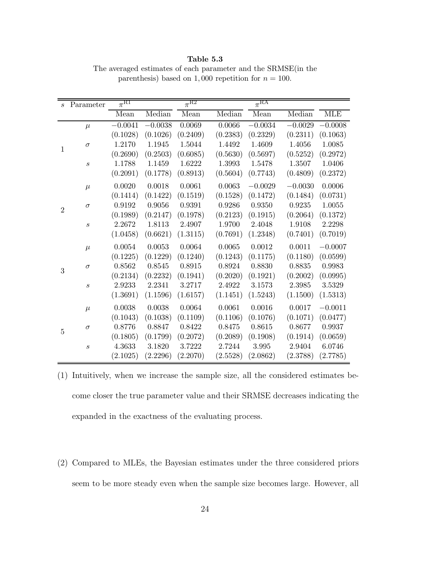s Parameter  $\pi^{\rm R1}$   $\pi^{\rm R2}$ R2  $\pi$  $\pi^{\rm RA}$ Mean Median Mean Median Mean Median MLE 1  $\mu$  −0.0041 −0.0038 0.0069 0.0066 −0.0034 −0.0029 −0.0008 (0.1028) (0.1026) (0.2409) (0.2383) (0.2329) (0.2311) (0.1063)  $\sigma$  1.2170 1.1945 1.5044 1.4492 1.4609 1.4056 1.0085  $(0.2690)$   $(0.2503)$   $(0.6085)$   $(0.5630)$   $(0.5697)$   $(0.5252)$   $(0.2972)$ s 1.1788 1.1459 1.6222 1.3993 1.5478 1.3507 1.0406 (0.2091) (0.1778) (0.8913) (0.5604) (0.7743) (0.4809) (0.2372) 2  $\mu$  0.0020 0.0018 0.0061 0.0063 −0.0029 −0.0030 0.0006 (0.1414) (0.1422) (0.1519) (0.1528) (0.1472) (0.1484) (0.0731)  $\sigma$  0.9192 0.9056 0.9391 0.9286 0.9350 0.9235 1.0055 (0.1989) (0.2147) (0.1978) (0.2123) (0.1915) (0.2064) (0.1372) s 2.2672 1.8113 2.4907 1.9700 2.4048 1.9108 2.2298 (1.0458) (0.6621) (1.3115) (0.7691) (1.2348) (0.7401) (0.7019) 3  $\mu$  0.0054 0.0053 0.0064 0.0065 0.0012 0.0011 −0.0007 (0.1225) (0.1229) (0.1240) (0.1243) (0.1175) (0.1180) (0.0599)  $\sigma$  0.8562 0.8545 0.8915 0.8924 0.8830 0.8835 0.9983 (0.2134) (0.2232) (0.1941) (0.2020) (0.1921) (0.2002) (0.0995) s 2.9233 2.2341 3.2717 2.4922 3.1573 2.3985 3.5329 (1.3691) (1.1596) (1.6157) (1.1451) (1.5243) (1.1500) (1.5313) 5  $\mu$  0.0038 0.0038 0.0064 0.0061 0.0016 0.0017 −0.0011 (0.1043) (0.1038) (0.1109) (0.1106) (0.1076) (0.1071) (0.0477)  $\sigma$  0.8776 0.8847 0.8422 0.8475 0.8615 0.8677 0.9937 (0.1805) (0.1799) (0.2072) (0.2089) (0.1908) (0.1914) (0.0659) s 4.3633 3.1820 3.7222 2.7244 3.995 2.9404 6.0746 (2.1025) (2.2296) (2.2070) (2.5528) (2.0862) (2.3788) (2.7785)

<span id="page-38-0"></span>Table 5.3 The averaged estimates of each parameter and the SRMSE(in the parenthesis) based on 1,000 repetition for  $n = 100$ .

(1) Intuitively, when we increase the sample size, all the considered estimates become closer the true parameter value and their SRMSE decreases indicating the expanded in the exactness of the evaluating process.

(2) Compared to MLEs, the Bayesian estimates under the three considered priors seem to be more steady even when the sample size becomes large. However, all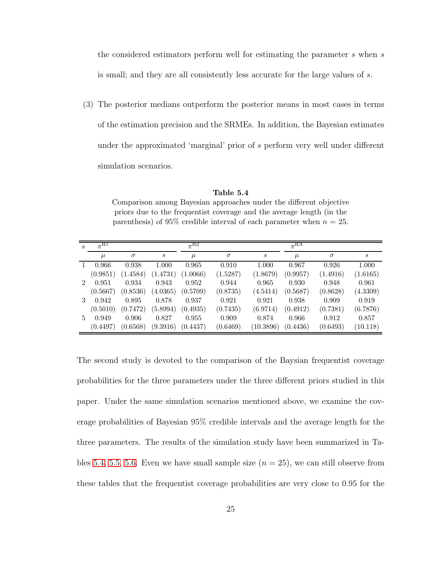the considered estimators perform well for estimating the parameter s when s is small; and they are all consistently less accurate for the large values of s.

(3) The posterior medians outperform the posterior means in most cases in terms of the estimation precision and the SRMEs. In addition, the Bayesian estimates under the approximated 'marginal' prior of s perform very well under different simulation scenarios.

| S             | $\pi^{\text{RI}}$ |          |                  | $\pi^{\overline{\mathrm{R2}}}$ |          |                  | $\pi^{\overline{\text{RA}}}$ |          |          |
|---------------|-------------------|----------|------------------|--------------------------------|----------|------------------|------------------------------|----------|----------|
|               | $\mu$             | $\sigma$ | $\boldsymbol{s}$ | $\mu$                          | $\sigma$ | $\boldsymbol{s}$ | $\mu$                        | $\sigma$ | S        |
|               | 0.966             | 0.938    | 1.000            | 0.965                          | 0.910    | 1.000            | 0.967                        | 0.926    | 1.000    |
|               | (0.9851)          | (1.4584) | (1.4731)         | (1.0066)                       | (1.5287) | (1.8679)         | (0.9957)                     | (1.4916) | (1.6165) |
| $\mathcal{D}$ | 0.951             | 0.934    | 0.943            | 0.952                          | 0.944    | 0.965            | 0.930                        | 0.948    | 0.961    |
|               | (0.5667)          | (0.8536) | (4.0365)         | (0.5709)                       | (0.8735) | (4.5414)         | (0.5687)                     | (0.8628) | (4.3309) |
| $\mathcal{S}$ | 0.942             | 0.895    | 0.878            | 0.937                          | 0.921    | 0.921            | 0.938                        | 0.909    | 0.919    |
|               | (0.5010)          | (0.7472) | (5.8994)         | (0.4935)                       | (0.7435) | (6.9714)         | (0.4912)                     | (0.7381) | (6.7876) |
| 5.            | 0.949             | 0.906    | 0.827            | 0.955                          | 0.909    | 0.874            | 0.966                        | 0.912    | 0.857    |
|               | (0.4497)          | (0.6568) | (9.3916)         | (0.4437)                       | (0.6469) | (10.3896)        | (0.4436)                     | (0.6493) | (10.118) |

<span id="page-39-0"></span>Table 5.4 Comparison among Bayesian approaches under the different objective priors due to the frequentist coverage and the average length (in the parenthesis) of 95% credible interval of each parameter when  $n = 25$ .

The second study is devoted to the comparison of the Baysian frequentist coverage probabilities for the three parameters under the three different priors studied in this paper. Under the same simulation scenarios mentioned above, we examine the coverage probabilities of Bayesian 95% credible intervals and the average length for the three parameters. The results of the simulation study have been summarized in Ta-bles [5.4,](#page-39-0) [5.5,](#page-40-0) [5.6.](#page-40-1) Even we have small sample size  $(n = 25)$ , we can still observe from these tables that the frequentist coverage probabilities are very close to 0.95 for the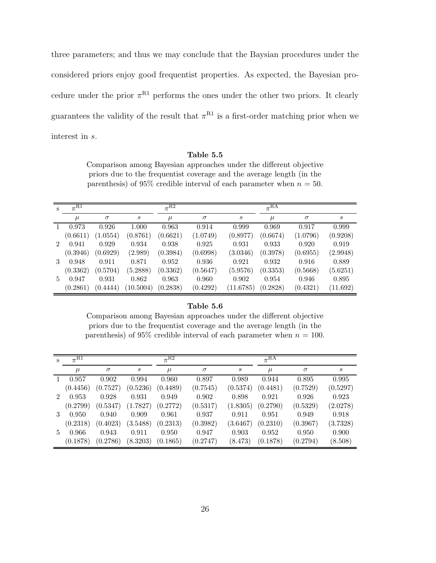three parameters; and thus we may conclude that the Baysian procedures under the considered priors enjoy good frequentist properties. As expected, the Bayesian procedure under the prior  $\pi^{R1}$  performs the ones under the other two priors. It clearly guarantees the validity of the result that  $\pi^{R1}$  is a first-order matching prior when we interest in s.

Table 5.5

<span id="page-40-0"></span>Comparison among Bayesian approaches under the different objective priors due to the frequentist coverage and the average length (in the parenthesis) of 95% credible interval of each parameter when  $n = 50$ .

| S                           | $\pi^{\text{R1}}$ |          |           | $\pi^{R2}$ |          |                  | $\pi$ <sub>RA</sub> |          |          |
|-----------------------------|-------------------|----------|-----------|------------|----------|------------------|---------------------|----------|----------|
|                             | $\mu$             | $\sigma$ | S         | $\mu$      | $\sigma$ | $\boldsymbol{s}$ | $\mu$               | $\sigma$ | S        |
|                             | 0.973             | 0.926    | 1.000     | 0.963      | 0.914    | 0.999            | 0.969               | 0.917    | 0.999    |
|                             | (0.6611)          | (1.0554) | (0.8761)  | (0.6621)   | (1.0749) | (0.8977)         | (0.6674)            | (1.0796) | (0.9208) |
| $\mathcal{D}_{\mathcal{L}}$ | 0.941             | 0.929    | 0.934     | 0.938      | 0.925    | 0.931            | 0.933               | 0.920    | 0.919    |
|                             | (0.3946)          | (0.6929) | (2.989)   | (0.3984)   | (0.6998) | (3.0346)         | (0.3978)            | (0.6955) | (2.9948) |
| 3                           | 0.948             | 0.911    | 0.871     | 0.952      | 0.936    | 0.921            | 0.932               | 0.916    | 0.889    |
|                             | (0.3362)          | (0.5704) | (5.2888)  | (0.3362)   | (0.5647) | (5.9576)         | (0.3353)            | (0.5668) | (5.6251) |
| 5                           | 0.947             | 0.931    | 0.862     | 0.963      | 0.960    | 0.902            | 0.954               | 0.946    | 0.895    |
|                             | (0.2861)          | (0.4444) | (10.5004) | (0.2838)   | (0.4292) | (11.6785)        | (0.2828)            | (0.4321) | (11.692) |

#### Table 5.6

<span id="page-40-1"></span>Comparison among Bayesian approaches under the different objective priors due to the frequentist coverage and the average length (in the parenthesis) of 95% credible interval of each parameter when  $n = 100$ .

| S              | $\pi^{\text{R1}}$ |          |          | $\pi^{R2}$ |          |                  | $\pi$ RA |          |          |
|----------------|-------------------|----------|----------|------------|----------|------------------|----------|----------|----------|
|                | $\mu$             | $\sigma$ | S        | $\mu$      | $\sigma$ | $\boldsymbol{s}$ | $\mu$    | $\sigma$ | S        |
| L              | 0.957             | 0.902    | 0.994    | 0.960      | 0.897    | 0.989            | 0.944    | 0.895    | 0.995    |
|                | (0.4456)          | (0.7527) | (0.5236) | (0.4489)   | (0.7545) | (0.5374)         | (0.4481) | (0.7529) | (0.5297) |
| $\mathfrak{D}$ | 0.953             | 0.928    | 0.931    | 0.949      | 0.902    | 0.898            | 0.921    | 0.926    | 0.923    |
|                | (0.2799)          | (0.5347) | (1.7827) | (0.2772)   | (0.5317) | (1.8305)         | (0.2790) | (0.5329) | (2.0278) |
| 3              | 0.950             | 0.940    | 0.909    | 0.961      | 0.937    | 0.911            | 0.951    | 0.949    | 0.918    |
|                | (0.2318)          | (0.4023) | (3.5488) | (0.2313)   | (0.3982) | (3.6467)         | (0.2310) | (0.3967) | (3.7328) |
| 5.             | 0.966             | 0.943    | 0.911    | 0.950      | 0.947    | 0.903            | 0.952    | 0.950    | 0.900    |
|                | (0.1878)          | (0.2786) | (8.3203) | (0.1865)   | (0.2747) | (8.473)          | (0.1878) | (0.2794) | (8.508)  |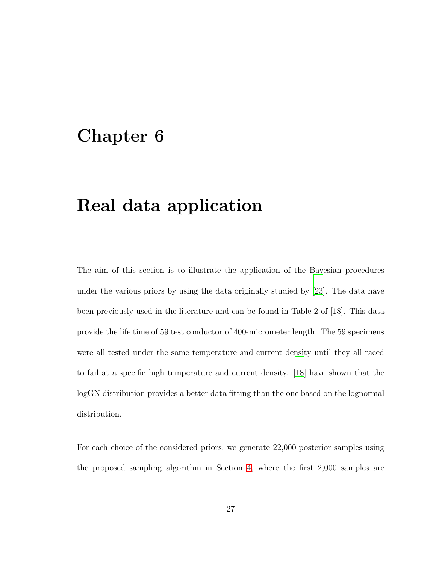### <span id="page-41-0"></span>Chapter 6

### Real data application

The aim of this section is to illustrate the application of the Bayesian procedures under the various priors by using the data originally studied by [\[23\]](#page-48-1). The data have been previously used in the literature and can be found in Table 2 of [\[18\]](#page-47-0). This data provide the life time of 59 test conductor of 400-micrometer length. The 59 specimens were all tested under the same temperature and current density until they all raced to fail at a specific high temperature and current density. [\[18](#page-47-0)] have shown that the logGN distribution provides a better data fitting than the one based on the lognormal distribution.

For each choice of the considered priors, we generate 22,000 posterior samples using the proposed sampling algorithm in Section [4,](#page-33-0) where the first 2,000 samples are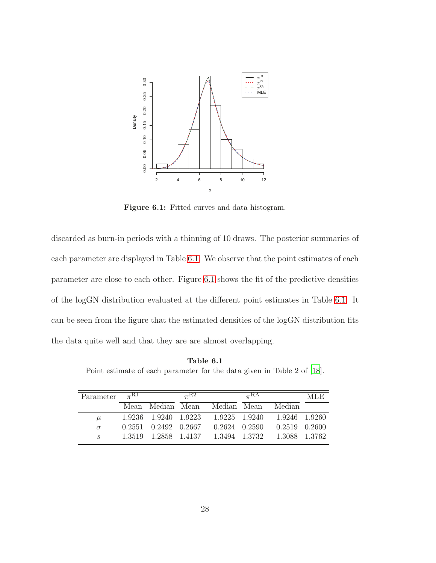<span id="page-42-0"></span>

**Figure 6.1:** Fitted curves and data histogram.

discarded as burn-in periods with a thinning of 10 draws. The posterior summaries of each parameter are displayed in Table [6.1.](#page-42-1) We observe that the point estimates of each parameter are close to each other. Figure [6.1](#page-42-0) shows the fit of the predictive densities of the logGN distribution evaluated at the different point estimates in Table [6.1.](#page-42-1) It can be seen from the figure that the estimated densities of the logGN distribution fits the data quite well and that they are are almost overlapping.

<span id="page-42-1"></span>Point estimate of each parameter for the data given in Table 2 of [\[18](#page-47-0)].

| Parameter $\pi^{R1}$ |                            | $\pi^{R2}$ |                                     | $\pi$ <sub>RA</sub> |                                                  | MLE. |
|----------------------|----------------------------|------------|-------------------------------------|---------------------|--------------------------------------------------|------|
|                      |                            |            | Mean Median Mean Median Mean Median |                     |                                                  |      |
| $\mu$                |                            |            |                                     |                     | 1.9236 1.9240 1.9223 1.9225 1.9240 1.9246 1.9260 |      |
| $\sigma$             | $0.2551$ $0.2492$ $0.2667$ |            |                                     |                     | $0.2624$ $0.2590$ $0.2519$ $0.2600$              |      |
| $\mathcal{S}_{-}$    |                            |            |                                     |                     | 1.3519 1.2858 1.4137 1.3494 1.3732 1.3088 1.3762 |      |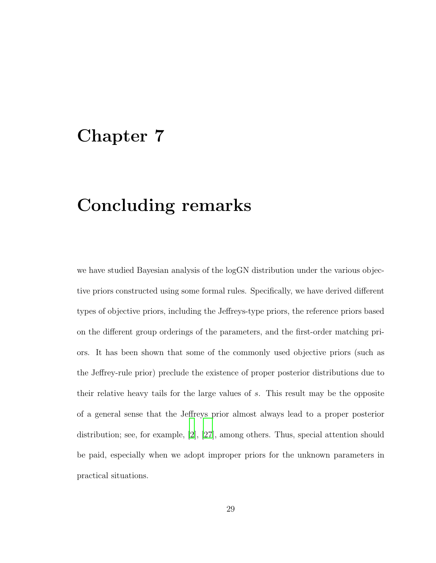### <span id="page-43-0"></span>Chapter 7

### Concluding remarks

we have studied Bayesian analysis of the logGN distribution under the various objective priors constructed using some formal rules. Specifically, we have derived different types of objective priors, including the Jeffreys-type priors, the reference priors based on the different group orderings of the parameters, and the first-order matching priors. It has been shown that some of the commonly used objective priors (such as the Jeffrey-rule prior) preclude the existence of proper posterior distributions due to their relative heavy tails for the large values of s. This result may be the opposite of a general sense that the Jeffreys prior almost always lead to a proper posterior distribution; see, for example, [\[2\]](#page-45-4), [\[27](#page-48-2)], among others. Thus, special attention should be paid, especially when we adopt improper priors for the unknown parameters in practical situations.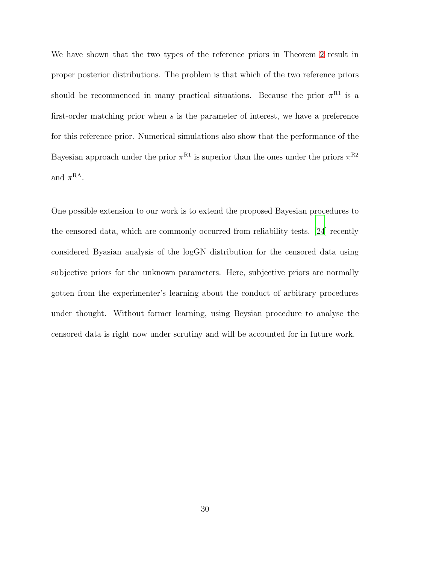We have shown that the two types of the reference priors in Theorem [2](#page-24-1) result in proper posterior distributions. The problem is that which of the two reference priors should be recommenced in many practical situations. Because the prior  $\pi^{R1}$  is a first-order matching prior when s is the parameter of interest, we have a preference for this reference prior. Numerical simulations also show that the performance of the Bayesian approach under the prior  $\pi^{R1}$  is superior than the ones under the priors  $\pi^{R2}$ and  $\pi^{\text{RA}}$ .

One possible extension to our work is to extend the proposed Bayesian procedures to the censored data, which are commonly occurred from reliability tests. [\[24](#page-48-0)] recently considered Byasian analysis of the logGN distribution for the censored data using subjective priors for the unknown parameters. Here, subjective priors are normally gotten from the experimenter's learning about the conduct of arbitrary procedures under thought. Without former learning, using Beysian procedure to analyse the censored data is right now under scrutiny and will be accounted for in future work.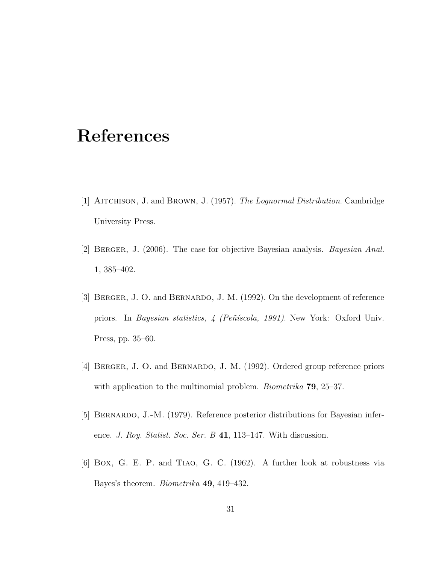### <span id="page-45-0"></span>References

- <span id="page-45-1"></span>[1] Aitchison, J. and Brown, J. (1957). *The Lognormal Distribution*. Cambridge University Press.
- <span id="page-45-4"></span>[2] Berger, J. (2006). The case for objective Bayesian analysis. *Bayesian Anal.* 1, 385–402.
- <span id="page-45-2"></span>[3] BERGER, J. O. and BERNARDO, J. M. (1992). On the development of reference priors. In *Bayesian statistics, 4 (Peñíscola, 1991)*. New York: Oxford Univ. Press, pp. 35–60.
- [4] BERGER, J. O. and BERNARDO, J. M. (1992). Ordered group reference priors with application to the multinomial problem. *Biometrika* 79, 25–37.
- <span id="page-45-3"></span>[5] Bernardo, J.-M. (1979). Reference posterior distributions for Bayesian inference. *J. Roy. Statist. Soc. Ser. B* 41, 113–147. With discussion.
- [6] Box, G. E. P. and Tiao, G. C. (1962). A further look at robustness via Bayes's theorem. *Biometrika* 49, 419–432.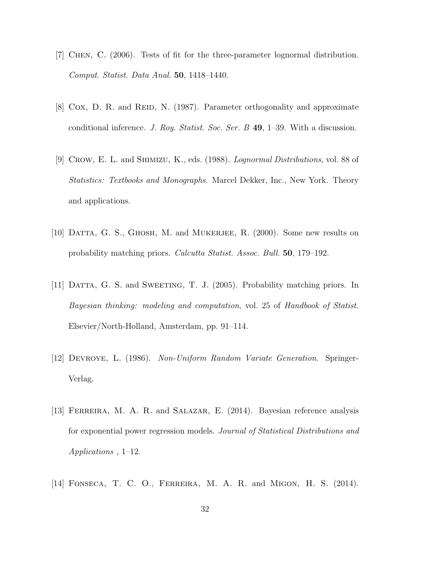- <span id="page-46-0"></span>[7] Chen, C. (2006). Tests of fit for the three-parameter lognormal distribution. *Comput. Statist. Data Anal.* 50, 1418–1440.
- [8] Cox, D. R. and REID, N. (1987). Parameter orthogonality and approximate conditional inference. *J. Roy. Statist. Soc. Ser. B* 49, 1–39. With a discussion.
- [9] Crow, E. L. and Shimizu, K., eds. (1988). *Lognormal Distributions*, vol. 88 of *Statistics: Textbooks and Monographs*. Marcel Dekker, Inc., New York. Theory and applications.
- <span id="page-46-2"></span>[10] DATTA, G. S., GHOSH, M. and MUKERJEE, R. (2000). Some new results on probability matching priors. *Calcutta Statist. Assoc. Bull.* 50, 179–192.
- <span id="page-46-1"></span>[11] DATTA, G. S. and SWEETING, T. J. (2005). Probability matching priors. In *Bayesian thinking: modeling and computation*, vol. 25 of *Handbook of Statist.* Elsevier/North-Holland, Amsterdam, pp. 91–114.
- <span id="page-46-3"></span>[12] Devroye, L. (1986). *Non-Uniform Random Variate Generation*. Springer-Verlag.
- <span id="page-46-4"></span>[13] FERREIRA, M. A. R. and SALAZAR, E. (2014). Bayesian reference analysis for exponential power regression models. *Journal of Statistical Distributions and Applications* , 1–12.
- [14] Fonseca, T. C. O., Ferreira, M. A. R. and Migon, H. S. (2014).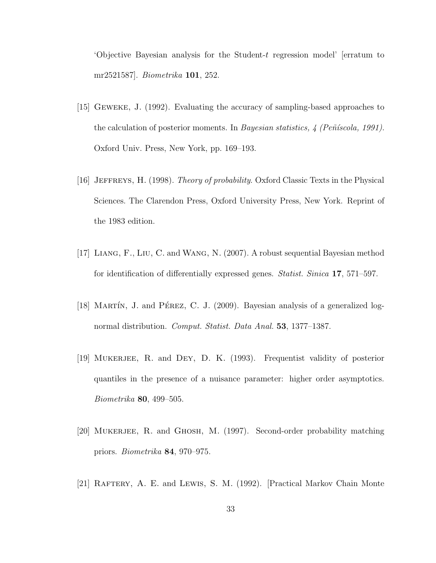'Objective Bayesian analysis for the Student-t regression model' [erratum to mr2521587]. *Biometrika* 101, 252.

- <span id="page-47-5"></span>[15] Geweke, J. (1992). Evaluating the accuracy of sampling-based approaches to the calculation of posterior moments. In *Bayesian statistics, 4 (Peñíscola, 1991)*. Oxford Univ. Press, New York, pp. 169–193.
- <span id="page-47-1"></span>[16] Jeffreys, H. (1998). *Theory of probability*. Oxford Classic Texts in the Physical Sciences. The Clarendon Press, Oxford University Press, New York. Reprint of the 1983 edition.
- [17] Liang, F., Liu, C. and Wang, N. (2007). A robust sequential Bayesian method for identification of differentially expressed genes. *Statist. Sinica* 17, 571–597.
- <span id="page-47-0"></span>[18] MARTÍN, J. and PÉREZ, C. J. (2009). Bayesian analysis of a generalized lognormal distribution. *Comput. Statist. Data Anal.* 53, 1377–1387.
- <span id="page-47-2"></span>[19] Mukerjee, R. and Dey, D. K. (1993). Frequentist validity of posterior quantiles in the presence of a nuisance parameter: higher order asymptotics. *Biometrika* 80, 499–505.
- <span id="page-47-3"></span>[20] Mukerjee, R. and Ghosh, M. (1997). Second-order probability matching priors. *Biometrika* 84, 970–975.
- <span id="page-47-4"></span>[21] RAFTERY, A. E. and LEWIS, S. M. (1992). [Practical Markov Chain Monte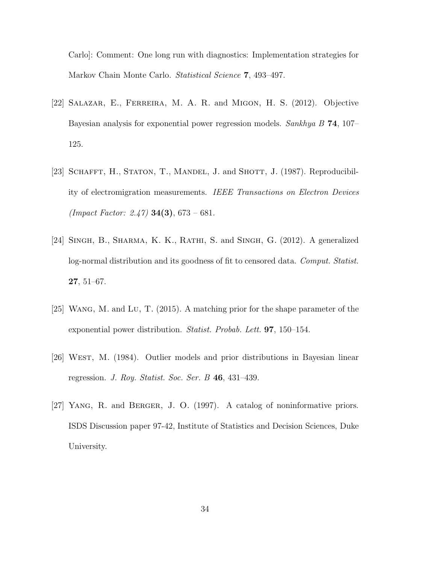Carlo]: Comment: One long run with diagnostics: Implementation strategies for Markov Chain Monte Carlo. *Statistical Science* 7, 493–497.

- <span id="page-48-3"></span>[22] Salazar, E., Ferreira, M. A. R. and Migon, H. S. (2012). Objective Bayesian analysis for exponential power regression models. *Sankhya B* 74, 107– 125.
- <span id="page-48-1"></span>[23] SCHAFFT, H., STATON, T., MANDEL, J. and SHOTT, J. (1987). Reproducibility of electromigration measurements. *IEEE Transactions on Electron Devices (Impact Factor: 2.47)* 34(3), 673 – 681.
- <span id="page-48-0"></span>[24] Singh, B., Sharma, K. K., Rathi, S. and Singh, G. (2012). A generalized log-normal distribution and its goodness of fit to censored data. *Comput. Statist.* 27, 51–67.
- [25] Wang, M. and Lu, T. (2015). A matching prior for the shape parameter of the exponential power distribution. *Statist. Probab. Lett.* 97, 150–154.
- [26] West, M. (1984). Outlier models and prior distributions in Bayesian linear regression. *J. Roy. Statist. Soc. Ser. B* 46, 431–439.
- <span id="page-48-2"></span>[27] Yang, R. and Berger, J. O. (1997). A catalog of noninformative priors. ISDS Discussion paper 97-42, Institute of Statistics and Decision Sciences, Duke University.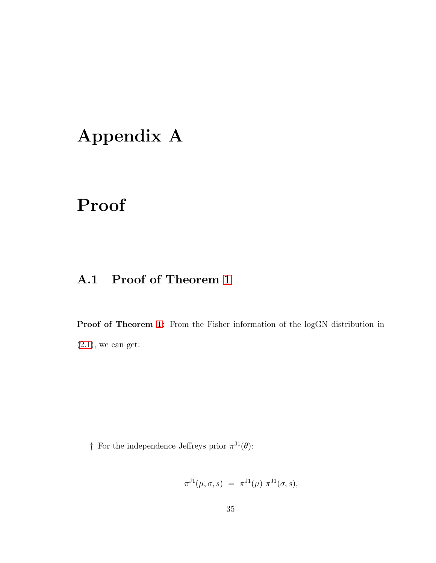# <span id="page-49-0"></span>Appendix A

## <span id="page-49-1"></span>Proof

#### A.1 Proof of Theorem [1](#page-23-0)

Proof of Theorem [1:](#page-23-0) From the Fisher information of the logGN distribution in  $(2.1)$ , we can get:

† For the independence Jeffreys prior  $\pi^{J_1}(\theta)$ :

$$
\pi^{J1}(\mu, \sigma, s) = \pi^{J1}(\mu) \pi^{J1}(\sigma, s),
$$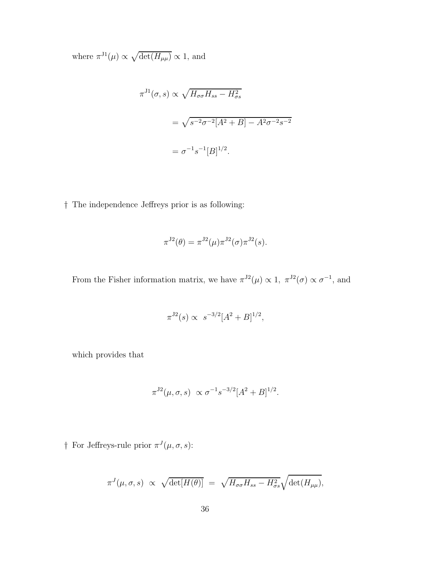where  $\pi^{J1}(\mu) \propto \sqrt{\det(H_{\mu\mu})} \propto 1$ , and

$$
\pi^{J1}(\sigma, s) \propto \sqrt{H_{\sigma\sigma} H_{ss} - H_{\sigma s}^2}
$$
  
=  $\sqrt{s^{-2} \sigma^{-2} [A^2 + B] - A^2 \sigma^{-2} s^{-2}}$   
=  $\sigma^{-1} s^{-1} [B]^{1/2}$ .

† The independence Jeffreys prior is as following:

$$
\pi^{J2}(\theta) = \pi^{J2}(\mu)\pi^{J2}(\sigma)\pi^{J2}(s).
$$

From the Fisher information matrix, we have  $\pi^{J2}(\mu) \propto 1$ ,  $\pi^{J2}(\sigma) \propto \sigma^{-1}$ , and

$$
\pi^{J2}(s) \propto s^{-3/2} [A^2 + B]^{1/2},
$$

which provides that

$$
\pi^{J2}(\mu, \sigma, s) \propto \sigma^{-1} s^{-3/2} [A^2 + B]^{1/2}.
$$

† For Jeffreys-rule prior  $\pi^{J}(\mu, \sigma, s)$ :

$$
\pi^{J}(\mu,\sigma,s) \propto \sqrt{\det[H(\theta)]} = \sqrt{H_{\sigma\sigma}H_{ss} - H_{\sigma s}^{2}}\sqrt{\det(H_{\mu\mu})},
$$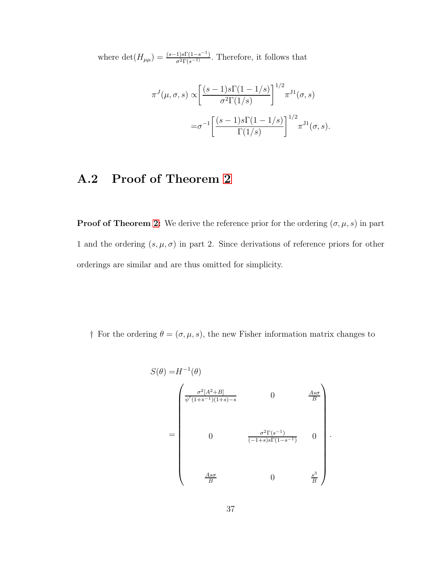where  $\det(H_{\mu\mu}) = \frac{(s-1)s\Gamma(1-s^{-1})}{\sigma^2\Gamma(s^{-1})}$ . Therefore, it follows that

$$
\pi^{J}(\mu,\sigma,s) \propto \left[\frac{(s-1)s\Gamma(1-1/s)}{\sigma^2\Gamma(1/s)}\right]^{1/2} \pi^{J1}(\sigma,s)
$$

$$
=\sigma^{-1}\left[\frac{(s-1)s\Gamma(1-1/s)}{\Gamma(1/s)}\right]^{1/2} \pi^{J1}(\sigma,s).
$$

#### <span id="page-51-0"></span>A.2 Proof of Theorem [2](#page-24-1)

**Proof of Theorem [2:](#page-24-1)** We derive the reference prior for the ordering  $(\sigma, \mu, s)$  in part 1 and the ordering  $(s, \mu, \sigma)$  in part 2. Since derivations of reference priors for other orderings are similar and are thus omitted for simplicity.

† For the ordering  $\theta = (\sigma, \mu, s)$ , the new Fisher information matrix changes to

$$
S(\theta) = H^{-1}(\theta)
$$
\n
$$
\begin{bmatrix}\n\frac{\sigma^2 [A^2 + B]}{\psi'(1+s^{-1})(1+s)-s} & 0 & \frac{As\sigma}{B} \\
0 & \frac{\sigma^2 \Gamma(s^{-1})}{(-1+s)s\Gamma(1-s^{-1})} & 0\n\end{bmatrix}
$$
\n
$$
= \begin{bmatrix}\n0 & \frac{\sigma^2 \Gamma(s^{-1})}{(-1+s)s\Gamma(1-s^{-1})} & 0 \\
\frac{As\sigma}{B} & 0 & \frac{s^3}{B}\n\end{bmatrix}
$$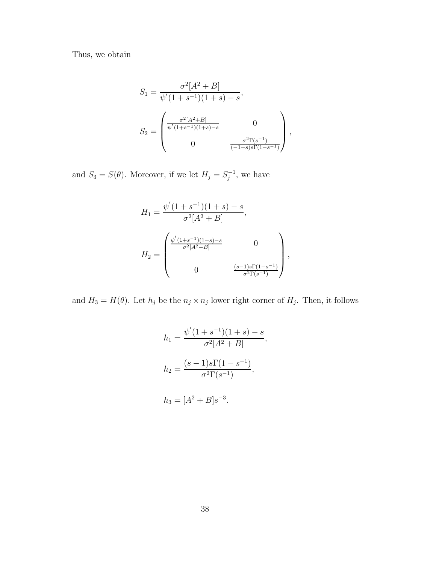Thus, we obtain

$$
S_1 = \frac{\sigma^2 [A^2 + B]}{\psi'(1 + s^{-1})(1 + s) - s},
$$
  
\n
$$
S_2 = \begin{pmatrix} \frac{\sigma^2 [A^2 + B]}{\psi'(1 + s^{-1})(1 + s) - s} & 0\\ 0 & \frac{\sigma^2 \Gamma(s^{-1})}{(-1 + s)s \Gamma(1 - s^{-1})} \end{pmatrix},
$$

and  $S_3 = S(\theta)$ . Moreover, if we let  $H_j = S_j^{-1}$  $j^{-1}$ , we have

$$
H_1 = \frac{\psi'(1+s^{-1})(1+s) - s}{\sigma^2[A^2 + B]},
$$
  
\n
$$
H_2 = \begin{pmatrix} \frac{\psi'(1+s^{-1})(1+s) - s}{\sigma^2[A^2 + B]} & 0 \\ 0 & \frac{(s-1)s\Gamma(1-s^{-1})}{\sigma^2\Gamma(s^{-1})} \end{pmatrix},
$$

and  $H_3 = H(\theta)$ . Let  $h_j$  be the  $n_j \times n_j$  lower right corner of  $H_j$ . Then, it follows

$$
h_1 = \frac{\psi'(1+s^{-1})(1+s) - s}{\sigma^2[A^2 + B]},
$$
  
\n
$$
h_2 = \frac{(s-1)s\Gamma(1-s^{-1})}{\sigma^2\Gamma(s^{-1})},
$$
  
\n
$$
h_3 = [A^2 + B]s^{-3}.
$$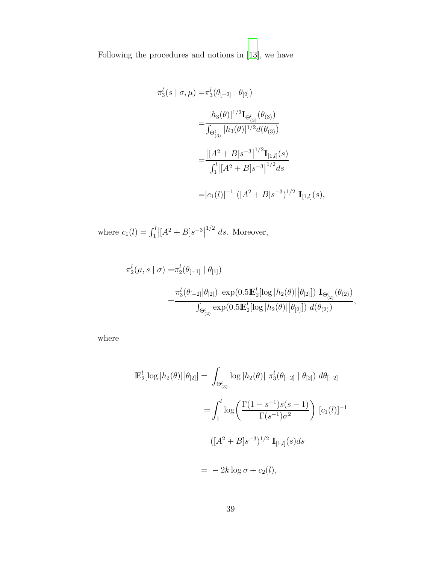Following the procedures and notions in [\[13](#page-46-4)], we have

$$
\pi_3^l(s \mid \sigma, \mu) = \pi_3^l(\theta_{[-2]} \mid \theta_{[2]})
$$
  
= 
$$
\frac{|h_3(\theta)|^{1/2} \mathbf{I}_{\Theta_{(3)}^l}(\theta_{(3)})}{\int_{\Theta_{(3)}^l} |h_3(\theta)|^{1/2} d(\theta_{(3)})}
$$
  
= 
$$
\frac{|[A^2 + B]s^{-3}|^{1/2} \mathbf{I}_{[1,l]}(s)}{\int_1^l |[A^2 + B]s^{-3}|^{1/2} ds}
$$
  
=  $[c_1(l)]^{-1} ([A^2 + B]s^{-3})^{1/2} \mathbf{I}_{[1,l]}(s),$ 

where  $c_1(l) = \int_1^l |[A^2 + B]s^{-3}|$  $^{1/2}$  ds. Moreover,

$$
\pi_2^l(\mu, s \mid \sigma) = \pi_2^l(\theta_{[-1]} \mid \theta_{[1]})
$$
  
= 
$$
\frac{\pi_3^l(\theta_{[-2]} | \theta_{[2]}) \exp(0.5 \mathbb{E}_2^l [\log |h_2(\theta)| | \theta_{[2]}]) \mathbf{I}_{\Theta_{(2)}^l}(\theta_{(2)})}{\int_{\Theta_{(2)}^l} \exp(0.5 \mathbb{E}_2^l [\log |h_2(\theta)| | \theta_{[2]}]) d(\theta_{(2)})},
$$

where

$$
\mathbb{E}_{2}^{l}[\log|h_{2}(\theta)||\theta_{[2]}] = \int_{\Theta_{(3)}^{l}} \log|h_{2}(\theta)| \pi_{3}^{l}(\theta_{[-2]} | \theta_{[2]}) d\theta_{[-2]} \n= \int_{1}^{l} \log\left(\frac{\Gamma(1 - s^{-1})s(s - 1)}{\Gamma(s^{-1})\sigma^{2}}\right) [c_{1}(l)]^{-1} \n\left([A^{2} + B]s^{-3}\right)^{1/2} \mathbf{I}_{[1,l]}(s)ds \n= -2k \log \sigma + c_{2}(l),
$$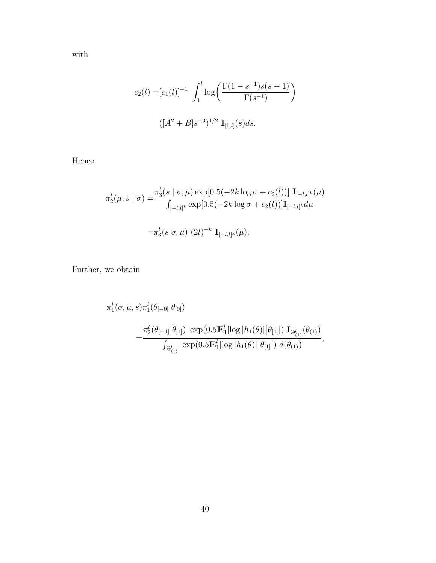with

$$
c_2(l) = [c_1(l)]^{-1} \int_1^l \log \left( \frac{\Gamma(1 - s^{-1})s(s - 1)}{\Gamma(s^{-1})} \right)
$$

$$
([A^2 + B]s^{-3})^{1/2} \mathbf{I}_{[1,l]}(s)ds.
$$

Hence,

$$
\pi_2^l(\mu, s \mid \sigma) = \frac{\pi_3^l(s \mid \sigma, \mu) \exp[0.5(-2k \log \sigma + c_2(l))] \mathbf{I}_{[-l,l]^k}(\mu)}{\int_{[-l,l]^k} \exp[0.5(-2k \log \sigma + c_2(l))] \mathbf{I}_{[-l,l]^k} d\mu}
$$

$$
= \pi_3^l(s \mid \sigma, \mu) (2l)^{-k} \mathbf{I}_{[-l,l]^k}(\mu).
$$

Further, we obtain

$$
\pi_1^l(\sigma,\mu,s)\pi_1^l(\theta_{[-0]}|\theta_{[0]})
$$
  
=
$$
\frac{\pi_2^l(\theta_{[-1]}|\theta_{[1]}) \exp(0.5\mathbb{E}_1^l[\log|h_1(\theta)||\theta_{[1]}]) \mathbf{I}_{\Theta_{(1)}^l}(\theta_{(1)})}{\int_{\Theta_{(1)}^l} \exp(0.5\mathbb{E}_1^l[\log|h_1(\theta)||\theta_{[1]}]) d(\theta_{(1)})},
$$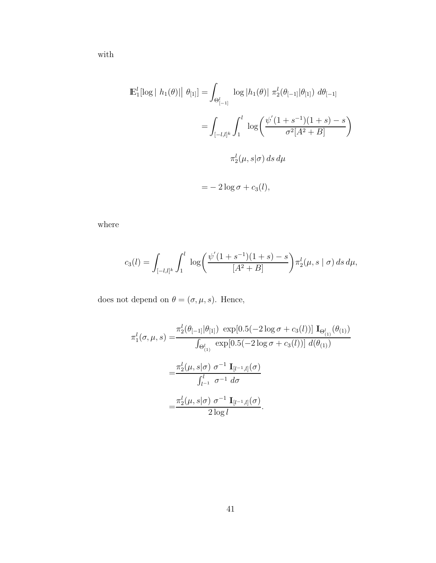with

$$
\mathbb{E}_{1}^{l}[\log | h_{1}(\theta)| | \theta_{[1]}] = \int_{\Theta_{[-1]}^{l}} \log | h_{1}(\theta) | \pi_{2}^{l}(\theta_{[-1]} | \theta_{[1]}) d\theta_{[-1]} \n= \int_{[-l,l]^{k}} \int_{1}^{l} \log \left( \frac{\psi^{'}(1+s^{-1})(1+s)-s}{\sigma^{2}[A^{2}+B]} \right) \n\pi_{2}^{l}(\mu, s | \sigma) ds d\mu
$$

$$
= -2\log \sigma + c_3(l),
$$

where

$$
c_3(l) = \int_{[-l,l]^k} \int_1^l \log \left( \frac{\psi'(1+s^{-1})(1+s)-s}{[A^2+B]} \right) \pi_2^l(\mu, s \mid \sigma) \, ds \, d\mu,
$$

does not depend on  $\theta=(\sigma,\mu,s).$  Hence,

$$
\pi_1^l(\sigma, \mu, s) = \frac{\pi_2^l(\theta_{[-1]}|\theta_{[1]}) \exp[0.5(-2\log\sigma + c_3(l))] \mathbf{I}_{\Theta_{(1)}^l}(\theta_{(1)})}{\int_{\Theta_{(1)}^l} \exp[0.5(-2\log\sigma + c_3(l))] d(\theta_{(1)})}
$$

$$
= \frac{\pi_2^l(\mu, s|\sigma) \sigma^{-1} \mathbf{I}_{[l^{-1},l]}(\sigma)}{\int_{l^{-1}}^{l} \sigma^{-1} d\sigma}
$$

$$
= \frac{\pi_2^l(\mu, s|\sigma) \sigma^{-1} \mathbf{I}_{[l^{-1},l]}(\sigma)}{2\log l}.
$$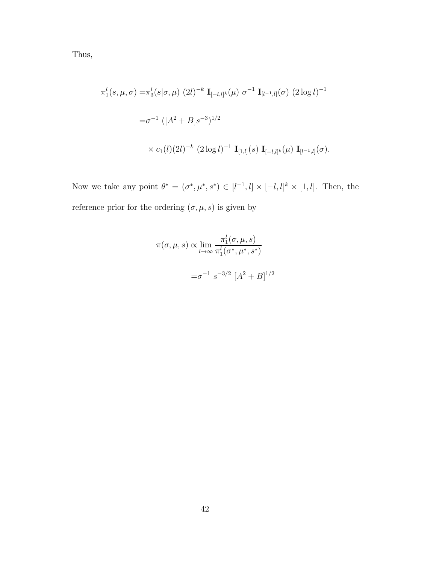Thus,

$$
\pi_1^l(s, \mu, \sigma) = \pi_3^l(s|\sigma, \mu) (2l)^{-k} \mathbf{I}_{[-l,l]^k}(\mu) \sigma^{-1} \mathbf{I}_{[l^{-1},l]}(\sigma) (2 \log l)^{-1}
$$
  

$$
= \sigma^{-1} ([A^2 + B]s^{-3})^{1/2}
$$
  

$$
\times c_1(l)(2l)^{-k} (2 \log l)^{-1} \mathbf{I}_{[1,l]}(s) \mathbf{I}_{[-l,l]^k}(\mu) \mathbf{I}_{[l^{-1},l]}(\sigma).
$$

Now we take any point  $\theta^* = (\sigma^*, \mu^*, s^*) \in [l^{-1}, l] \times [-l, l]^k \times [1, l]$ . Then, the reference prior for the ordering  $(\sigma, \mu, s)$  is given by

$$
\pi(\sigma, \mu, s) \propto \lim_{l \to \infty} \frac{\pi_1^l(\sigma, \mu, s)}{\pi_1^l(\sigma^*, \mu^*, s^*)}
$$

$$
= \sigma^{-1} s^{-3/2} [A^2 + B]^{1/2}
$$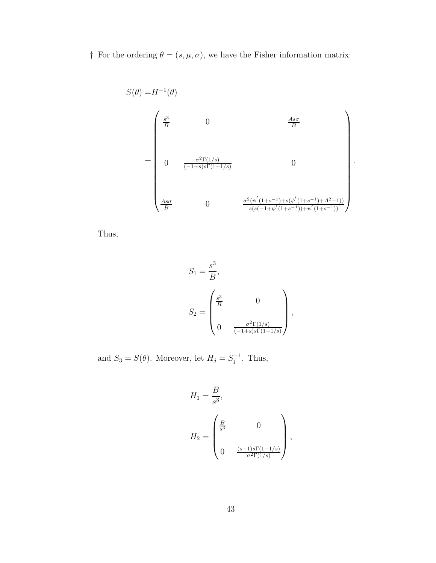† For the ordering  $\theta = (s, \mu, \sigma)$ , we have the Fisher information matrix:

$$
S(\theta) = H^{-1}(\theta)
$$
  
= 
$$
\begin{pmatrix} \frac{s^3}{B} & 0 & \frac{As\sigma}{B} \\ & & & \\ 0 & \frac{\sigma^2 \Gamma(1/s)}{(-1+s)s\Gamma(1-1/s)} & 0 \\ & & \\ \frac{As\sigma}{B} & 0 & \frac{\sigma^2(\psi'(1+s^{-1})+s(\psi'(1+s^{-1})+A^2-1))}{s(s(-1+\psi'(1+s^{-1}))+\psi'(1+s^{-1}))} \end{pmatrix}
$$

.

Thus,

$$
S_1 = \frac{s^3}{B},
$$
  
\n
$$
S_2 = \begin{pmatrix} \frac{s^3}{B} & 0 \\ 0 & \frac{\sigma^2 \Gamma(1/s)}{(-1+s)s\Gamma(1-1/s)} \end{pmatrix},
$$

and  $S_3 = S(\theta)$ . Moreover, let  $H_j = S_j^{-1}$ . Thus,

$$
H_1 = \frac{B}{s^3},
$$
  
\n
$$
H_2 = \begin{pmatrix} \frac{B}{s^3} & 0 \\ 0 & \frac{(s-1)s\Gamma(1-1/s)}{\sigma^2\Gamma(1/s)} \end{pmatrix},
$$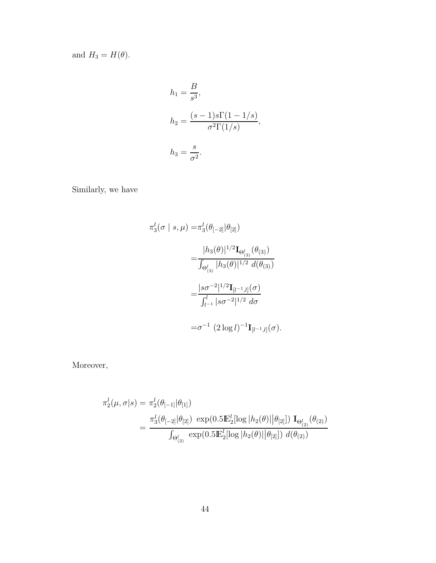and  $H_3 = H(\theta)$ .

$$
h_1 = \frac{B}{s^3},
$$
  
\n
$$
h_2 = \frac{(s-1)s\Gamma(1-1/s)}{\sigma^2\Gamma(1/s)},
$$
  
\n
$$
h_3 = \frac{s}{\sigma^2}.
$$

Similarly, we have

$$
\pi_3^l(\sigma \mid s, \mu) = \pi_3^l(\theta_{[-2]}|\theta_{[2]})
$$
  
= 
$$
\frac{|h_3(\theta)|^{1/2} \mathbf{I}_{\Theta_{(3)}^l}(\theta_{(3)})}{\int_{\Theta_{(3)}^l} |h_3(\theta)|^{1/2} d(\theta_{(3)})}
$$
  
= 
$$
\frac{|s\sigma^{-2}|^{1/2} \mathbf{I}_{[l^{-1},l]}(\sigma)}{\int_{l^{-1}}^{l} |s\sigma^{-2}|^{1/2} d\sigma}
$$
  
= 
$$
\sigma^{-1} (2 \log l)^{-1} \mathbf{I}_{[l^{-1},l]}(\sigma).
$$

Moreover,

$$
\pi_2^l(\mu, \sigma | s) = \pi_2^l(\theta_{[-1]} | \theta_{[1]})
$$
  
= 
$$
\frac{\pi_3^l(\theta_{[-2]} | \theta_{[2]}) \exp(0.5 \mathbb{E}_2^l [\log | h_2(\theta) | |\theta_{[2]}]) \mathbf{I}_{\Theta_{(2)}^l}(\theta_{(2)})}{\int_{\Theta_{(2)}^l} \exp(0.5 \mathbb{E}_2^l [\log | h_2(\theta) | |\theta_{[2]}]) d(\theta_{(2)})}
$$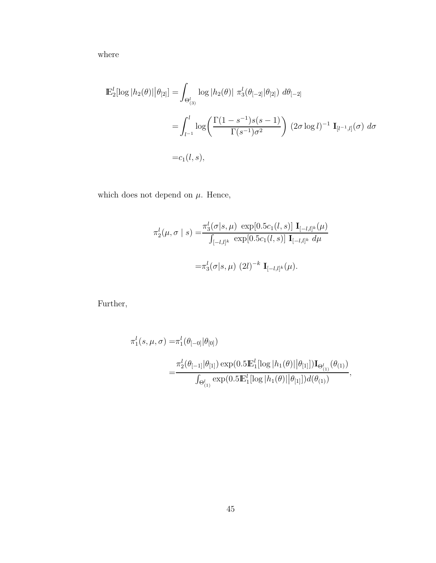where

$$
\mathbb{E}_{2}^{l}[\log|h_{2}(\theta)||\theta_{[2]}] = \int_{\Theta_{(3)}^{l}} \log|h_{2}(\theta)| \pi_{3}^{l}(\theta_{[-2]}|\theta_{[2]}) d\theta_{[-2]} \n= \int_{l^{-1}}^{l} \log\left(\frac{\Gamma(1-s^{-1})s(s-1)}{\Gamma(s^{-1})\sigma^{2}}\right) (2\sigma \log l)^{-1} \mathbf{I}_{[l^{-1},l]}(\sigma) d\sigma \n= c_{1}(l,s),
$$

which does not depend on  $\mu$ . Hence,

$$
\pi_2^l(\mu, \sigma \mid s) = \frac{\pi_3^l(\sigma|s, \mu) \exp[0.5c_1(l, s)] \mathbf{I}_{[-l,l]^k}(\mu)}{\int_{[-l,l]^k} \exp[0.5c_1(l, s)] \mathbf{I}_{[-l,l]^k} d\mu}
$$

$$
= \pi_3^l(\sigma|s, \mu) (2l)^{-k} \mathbf{I}_{[-l,l]^k}(\mu).
$$

Further,

$$
\pi_1^l(s,\mu,\sigma) = \pi_1^l(\theta_{[-0]}|\theta_{[0]})
$$
  
= 
$$
\frac{\pi_2^l(\theta_{[-1]}|\theta_{[1]})\exp(0.5\mathbb{E}_1^l[\log|h_1(\theta)||\theta_{[1]}])\mathbf{I}_{\Theta_{(1)}^l}(\theta_{(1)})}{\int_{\Theta_{(1)}^l}\exp(0.5\mathbb{E}_1^l[\log|h_1(\theta)||\theta_{[1]}])d(\theta_{(1)})},
$$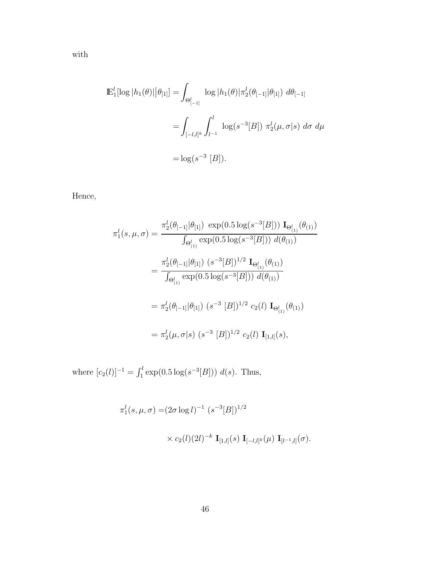with

$$
\mathbb{E}_{1}^{l}[\log|h_{1}(\theta)||\theta_{[1]}] = \int_{\Theta_{[-1]}^{l}} \log|h_{1}(\theta)|\pi_{2}^{l}(\theta_{[-1]}|\theta_{[1]}) d\theta_{[-1]} \n= \int_{[-l,l]^{k}} \int_{l^{-1}}^{l} \log(s^{-3}[B]) \pi_{2}^{l}(\mu, \sigma|s) d\sigma d\mu \n= \log(s^{-3}[B]).
$$

Hence,

$$
\pi_1^l(s, \mu, \sigma) = \frac{\pi_2^l(\theta_{[-1]}|\theta_{[1]}) \exp(0.5 \log(s^{-3}[B])) \mathbf{I}_{\Theta_{(1)}^l}(\theta_{(1)})}{\int_{\Theta_{(1)}^l} \exp(0.5 \log(s^{-3}[B])) d(\theta_{(1)})}
$$

$$
= \frac{\pi_2^l(\theta_{[-1]}|\theta_{[1]}) (s^{-3}[B])^{1/2} \mathbf{I}_{\Theta_{(1)}^l}(\theta_{(1)})}{\int_{\Theta_{(1)}^l} \exp(0.5 \log(s^{-3}[B])) d(\theta_{(1)})}
$$

$$
= \pi_2^l(\theta_{[-1]}|\theta_{[1]}) (s^{-3}[B])^{1/2} c_2(l) \mathbf{I}_{\Theta_{(1)}^l}(\theta_{(1)})
$$

$$
= \pi_2^l(\mu, \sigma|s) (s^{-3}[B])^{1/2} c_2(l) \mathbf{I}_{[1,l]}(s),
$$

where  $[c_2(l)]^{-1} = \int_1^l \exp(0.5 \log(s^{-3}[B])) d(s)$ . Thus,

$$
\pi_1^l(s, \mu, \sigma) = (2\sigma \log l)^{-1} (s^{-3}[B])^{1/2}
$$
  
 
$$
\times c_2(l)(2l)^{-k} \mathbf{I}_{[1,l]}(s) \mathbf{I}_{[-l,l]^k}(\mu) \mathbf{I}_{[l^{-1},l]}(\sigma).
$$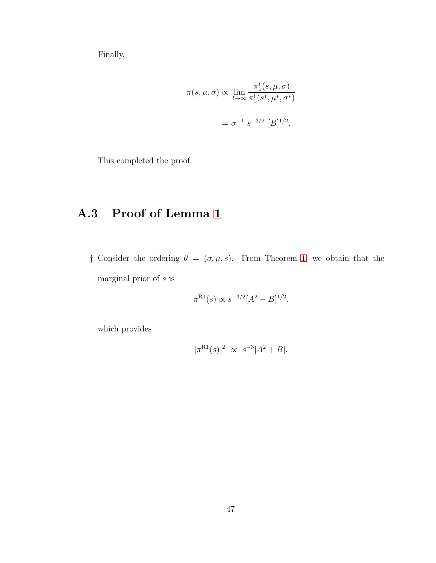Finally,

$$
\pi(s,\mu,\sigma) \propto \lim_{l \to \infty} \frac{\pi_1^l(s,\mu,\sigma)}{\pi_1^l(s^*,\mu^*,\sigma^*)}
$$

$$
= \sigma^{-1} s^{-3/2} [B]^{1/2}.
$$

<span id="page-61-0"></span>This completed the proof.

#### A.3 Proof of Lemma [1](#page-30-0)

† Consider the ordering  $\theta = (\sigma, \mu, s)$ . From Theorem [1,](#page-23-0) we obtain that the marginal prior of  $s$  is

$$
\pi^{R1}(s) \propto s^{-3/2} [A^2 + B]^{1/2}.
$$

which provides

$$
[\pi^{\text{R1}}(s)]^2 \propto s^{-3}[A^2 + B].
$$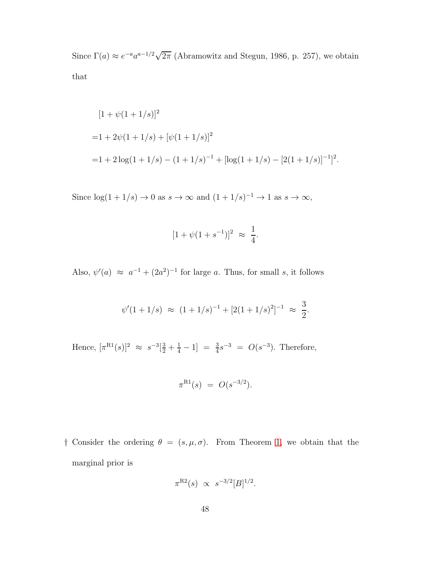Since  $\Gamma(a) \approx e^{-a} a^{a-1/2} \sqrt{2\pi}$  (Abramowitz and Stegun, 1986, p. 257), we obtain that

$$
[1 + \psi(1 + 1/s)]^2
$$
  
= 1 + 2\psi(1 + 1/s) + [\psi(1 + 1/s)]^2  
= 1 + 2\log(1 + 1/s) - (1 + 1/s)^{-1} + [\log(1 + 1/s) - [2(1 + 1/s)]^{-1}]^2.

Since  $\log(1+1/s) \to 0$  as  $s \to \infty$  and  $(1+1/s)^{-1} \to 1$  as  $s \to \infty$ ,

$$
[1 + \psi(1 + s^{-1})]^2 \approx \frac{1}{4}.
$$

Also,  $\psi'(a) \approx a^{-1} + (2a^2)^{-1}$  for large a. Thus, for small s, it follows

$$
\psi'(1+1/s) \approx (1+1/s)^{-1} + [2(1+1/s)^2]^{-1} \approx \frac{3}{2}.
$$

Hence,  $[\pi^{R1}(s)]^2 \approx s^{-3}[\frac{3}{2} + \frac{1}{4} - 1] = \frac{3}{4}s^{-3} = O(s^{-3})$ . Therefore,

$$
\pi^{\text{R1}}(s) = O(s^{-3/2}).
$$

† Consider the ordering  $\theta = (s, \mu, \sigma)$ . From Theorem [1,](#page-23-0) we obtain that the marginal prior is

$$
\pi^{R2}(s) \propto s^{-3/2} [B]^{1/2}.
$$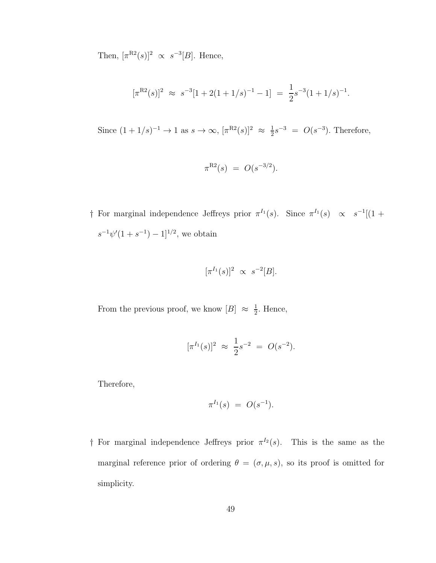Then,  $[\pi^{R2}(s)]^2 \propto s^{-3}[B]$ . Hence,

$$
[\pi^{R2}(s)]^2 \approx s^{-3}[1+2(1+1/s)^{-1} - 1] = \frac{1}{2}s^{-3}(1+1/s)^{-1}.
$$

Since  $(1 + 1/s)^{-1} \to 1$  as  $s \to \infty$ ,  $[\pi^{R2}(s)]^2 \approx \frac{1}{2}$  $\frac{1}{2}s^{-3} = O(s^{-3})$ . Therefore,

$$
\pi^{R2}(s) = O(s^{-3/2}).
$$

† For marginal independence Jeffreys prior  $\pi^{I_1}(s)$ . Since  $\pi^{I_1}(s) \propto s^{-1}[(1 +$  $s^{-1}\psi'(1+s^{-1})-1]^{1/2}$ , we obtain

$$
[\pi^{I_1}(s)]^2 \propto s^{-2}[B].
$$

From the previous proof, we know  $[B] \approx \frac{1}{2}$  $\frac{1}{2}$ . Hence,

$$
[\pi^{I_1}(s)]^2 \approx \frac{1}{2}s^{-2} = O(s^{-2}).
$$

Therefore,

$$
\pi^{I_1}(s) = O(s^{-1}).
$$

† For marginal independence Jeffreys prior  $\pi^{I_2}(s)$ . This is the same as the marginal reference prior of ordering  $\theta = (\sigma, \mu, s)$ , so its proof is omitted for simplicity.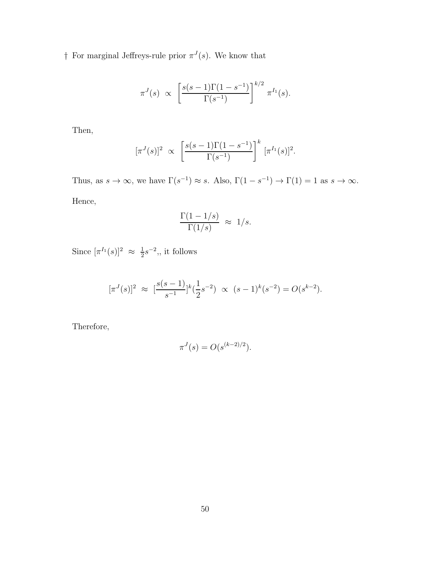† For marginal Jeffreys-rule prior  $\pi^{J}(s)$ . We know that

$$
\pi^{J}(s) \propto \left[ \frac{s(s-1)\Gamma(1-s^{-1})}{\Gamma(s^{-1})} \right]^{k/2} \pi^{I_1}(s).
$$

Then,

$$
[\pi^{J}(s)]^{2} \propto \left[\frac{s(s-1)\Gamma(1-s^{-1})}{\Gamma(s^{-1})}\right]^{k} [\pi^{I_{1}}(s)]^{2}.
$$

Thus, as  $s \to \infty$ , we have  $\Gamma(s^{-1}) \approx s$ . Also,  $\Gamma(1 - s^{-1}) \to \Gamma(1) = 1$  as  $s \to \infty$ . Hence,

$$
\frac{\Gamma(1-1/s)}{\Gamma(1/s)} \approx 1/s.
$$

Since  $[\pi^{I_1}(s)]^2 \approx \frac{1}{2}$  $\frac{1}{2}s^{-2}$ , it follows

$$
[\pi^{J}(s)]^{2} \approx \left[\frac{s(s-1)}{s^{-1}}\right]^{k} \left(\frac{1}{2}s^{-2}\right) \propto (s-1)^{k}(s^{-2}) = O(s^{k-2}).
$$

Therefore,

$$
\pi^{J}(s) = O(s^{(k-2)/2}).
$$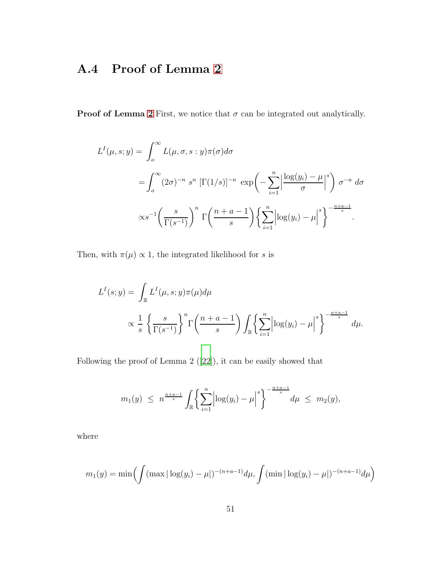#### <span id="page-65-0"></span>A.4 Proof of Lemma [2](#page-31-0)

**Proof of Lemma [2](#page-31-0)** First, we notice that  $\sigma$  can be integrated out analytically.

$$
L^{I}(\mu, s; y) = \int_{o}^{\infty} L(\mu, \sigma, s : y) \pi(\sigma) d\sigma
$$
  
= 
$$
\int_{o}^{\infty} (2\sigma)^{-n} s^{n} [\Gamma(1/s)]^{-n} \exp\left(-\sum_{i=1}^{n} \left|\frac{\log(y_{i}) - \mu}{\sigma}\right|^{s}\right) \sigma^{-a} d\sigma
$$
  

$$
\propto s^{-1} \left(\frac{s}{\Gamma(s^{-1})}\right)^{n} \Gamma\left(\frac{n+a-1}{s}\right) \left\{\sum_{i=1}^{n} \left|\log(y_{i}) - \mu\right|^{s}\right\}^{-\frac{n+a-1}{s}}.
$$

Then, with  $\pi(\mu) \propto 1$ , the integrated likelihood for s is

$$
L^{I}(s; y) = \int_{\mathbb{R}} L^{I}(\mu, s; y)\pi(\mu)d\mu
$$
  
 
$$
\propto \frac{1}{s} \left\{\frac{s}{\Gamma(s^{-1})}\right\}^{n} \Gamma\left(\frac{n+a-1}{s}\right) \int_{\mathbb{R}} \left\{\sum_{i=1}^{n} \left|\log(y_{i}) - \mu\right|^{s}\right\}^{-\frac{n+a-1}{s}} d\mu.
$$

Following the proof of Lemma 2([\[22\]](#page-48-3)), it can be easily showed that

$$
m_1(y) \leq n^{\frac{n+a-1}{s}} \int_{\mathbb{R}} \left\{ \sum_{i=1}^n \left| \log(y_i) - \mu \right|^s \right\}^{-\frac{n+a-1}{s}} d\mu \leq m_2(y),
$$

where

$$
m_1(y) = \min\left(\int (\max|\log(y_i) - \mu|)^{-(n+a-1)} d\mu, \int (\min|\log(y_i) - \mu|)^{-(n+a-1)} d\mu\right)
$$